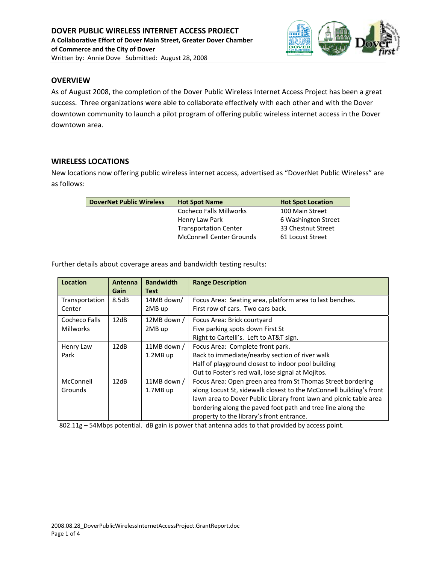

#### **OVERVIEW**

As of August 2008, the completion of the Dover Public Wireless Internet Access Project has been a great success. Three organizations were able to collaborate effectively with each other and with the Dover downtown community to launch a pilot program of offering public wireless internet access in the Dover downtown area.

#### **WIRELESS LOCATIONS**

New locations now offering public wireless internet access, advertised as "DoverNet Public Wireless" are as follows:

| <b>DoverNet Public Wireless</b> | <b>Hot Spot Name</b>            | <b>Hot Spot Location</b> |
|---------------------------------|---------------------------------|--------------------------|
|                                 | <b>Cocheco Falls Millworks</b>  | 100 Main Street          |
|                                 | Henry Law Park                  | 6 Washington Street      |
|                                 | <b>Transportation Center</b>    | 33 Chestnut Street       |
|                                 | <b>McConnell Center Grounds</b> | 61 Locust Street         |

Further details about coverage areas and bandwidth testing results:

| Location         | Antenna<br>Gain | <b>Bandwidth</b><br><b>Test</b> | <b>Range Description</b>                                            |
|------------------|-----------------|---------------------------------|---------------------------------------------------------------------|
| Transportation   | 8.5dB           | 14MB down/                      | Focus Area: Seating area, platform area to last benches.            |
| Center           |                 | 2MB up                          | First row of cars. Two cars back.                                   |
| Cocheco Falls    | 12dB            | 12MB down /                     | Focus Area: Brick courtyard                                         |
| <b>Millworks</b> |                 | 2MB up                          | Five parking spots down First St                                    |
|                  |                 |                                 | Right to Cartelli's. Left to AT&T sign.                             |
| Henry Law        | 12dB            | 11MB down /                     | Focus Area: Complete front park.                                    |
| Park             |                 | 1.2MB up                        | Back to immediate/nearby section of river walk                      |
|                  |                 |                                 | Half of playground closest to indoor pool building                  |
|                  |                 |                                 | Out to Foster's red wall, lose signal at Mojitos.                   |
| McConnell        | 12dB            | 11MB down /                     | Focus Area: Open green area from St Thomas Street bordering         |
| Grounds          |                 | 1.7MB up                        | along Locust St, sidewalk closest to the McConnell building's front |
|                  |                 |                                 | lawn area to Dover Public Library front lawn and picnic table area  |
|                  |                 |                                 | bordering along the paved foot path and tree line along the         |
|                  |                 |                                 | property to the library's front entrance.                           |

802.11g – 54Mbps potential. dB gain is power that antenna adds to that provided by access point.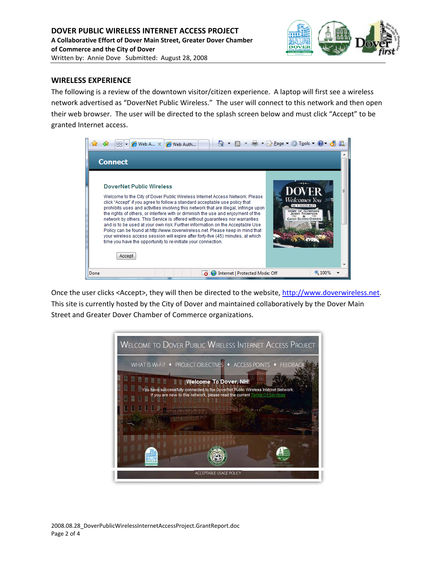

#### **WIRELESS EXPERIENCE**

The following is a review of the downtown visitor/citizen experience. A laptop will first see a wireless network advertised as "DoverNet Public Wireless." The user will connect to this network and then open their web browser. The user will be directed to the splash screen below and must click "Accept" to be granted Internet access.



Once the user clicks <Accept>, they will then be directed to the website, http://www.doverwireless.net. This site is currently hosted by the City of Dover and maintained collaboratively by the Dover Main Street and Greater Dover Chamber of Commerce organizations.

| <b>WELCOME TO DOVER PUBLIC WIRELESS INTERNET ACCESS PROJECT</b>                                                                                                                                                                                                          |
|--------------------------------------------------------------------------------------------------------------------------------------------------------------------------------------------------------------------------------------------------------------------------|
| WHAT IS WI-FI? . PROJECT OBJECTIVES . ACCESS POINTS . FEEDBA<br><b>Example 2 Melcome To Dover, NH!</b><br>You have successfully connected to the DoverNet Public Wireless Internet Network.<br>If you are new to this network, please read the current Terms Of Services |
| ACCEPTABLE USAGE POLICY                                                                                                                                                                                                                                                  |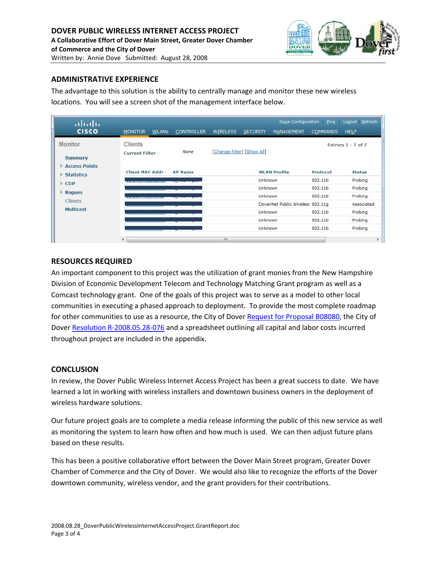

#### **ADMINISTRATIVE EXPERIENCE**

The advantage to this solution is the ability to centrally manage and monitor these new wireless locations. You will see a screen shot of the management interface below.

| altaho                                    |                                  |              |                   |                            |                 |                                  |                 | Save Configuration Ping Logout Refresh |
|-------------------------------------------|----------------------------------|--------------|-------------------|----------------------------|-----------------|----------------------------------|-----------------|----------------------------------------|
| <b>CISCO</b>                              | <b>MONITOR</b>                   | <b>WLANS</b> | <b>CONTROLLER</b> | <b>WIRELESS</b>            | <b>SECURITY</b> | MANAGEMENT                       | <b>COMMANDS</b> | <b>HELP</b>                            |
| Monitor<br><b>Summary</b>                 | Clients<br><b>Current Filter</b> |              | None              | [Change Filter] [Show All] |                 |                                  |                 | Entries $1 - 7$ of 7                   |
| <b>Access Points</b><br><b>Statistics</b> | <b>Client MAC Addr</b>           |              | <b>AP Name</b>    |                            |                 | <b>WLAN Profile</b>              | Protocol        | <b>Status</b>                          |
| <b>CDP</b><br>Þ.                          |                                  |              |                   |                            | Unknown         |                                  | 802.11b         | Probing                                |
|                                           |                                  |              |                   |                            | Unknown         |                                  | 802.11b         | Probing                                |
| <b>Rogues</b>                             |                                  |              |                   |                            | Unknown         |                                  | 802.11b         | Probing                                |
| <b>Clients</b>                            |                                  |              |                   |                            |                 | DoverNet Public Wireless 802.11g |                 | Associated                             |
| <b>Multicast</b>                          |                                  |              |                   |                            | Unknown         |                                  | 802.11b         | Probing                                |
|                                           |                                  |              |                   |                            | Unknown         |                                  | 802.11b         | Probing                                |
|                                           |                                  |              |                   |                            | Unknown         |                                  | 802.11b         | Probing                                |
|                                           | $\overline{ }$                   |              |                   | m.                         |                 |                                  |                 |                                        |

#### **RESOURCES REQUIRED**

An important component to this project was the utilization of grant monies from the New Hampshire Division of Economic Development Telecom and Technology Matching Grant program as well as a Comcast technology grant. One of the goals of this project was to serve as a model to other local communities in executing a phased approach to deployment. To provide the most complete roadmap for other communities to use as a resource, the City of Dover Request for Proposal B08080, the City of Dover Resolution R‐2008.05.28‐076 and a spreadsheet outlining all capital and labor costs incurred throughout project are included in the appendix.

#### **CONCLUSION**

In review, the Dover Public Wireless Internet Access Project has been a great success to date. We have learned a lot in working with wireless installers and downtown business owners in the deployment of wireless hardware solutions.

Our future project goals are to complete a media release informing the public of this new service as well as monitoring the system to learn how often and how much is used. We can then adjust future plans based on these results.

This has been a positive collaborative effort between the Dover Main Street program, Greater Dover Chamber of Commerce and the City of Dover. We would also like to recognize the efforts of the Dover downtown community, wireless vendor, and the grant providers for their contributions.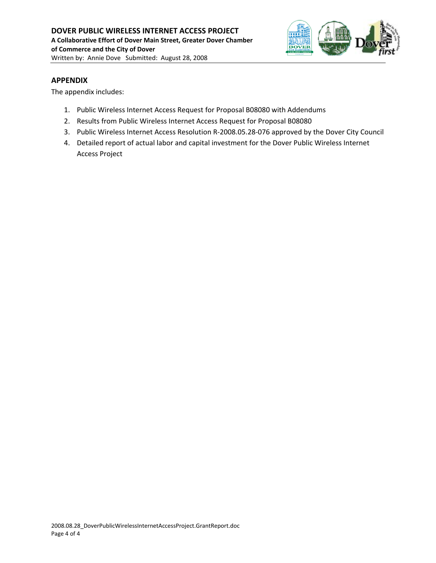

#### **APPENDIX**

The appendix includes:

- 1. Public Wireless Internet Access Request for Proposal B08080 with Addendums
- 2. Results from Public Wireless Internet Access Request for Proposal B08080
- 3. Public Wireless Internet Access Resolution R‐2008.05.28‐076 approved by the Dover City Council
- 4. Detailed report of actual labor and capital investment for the Dover Public Wireless Internet Access Project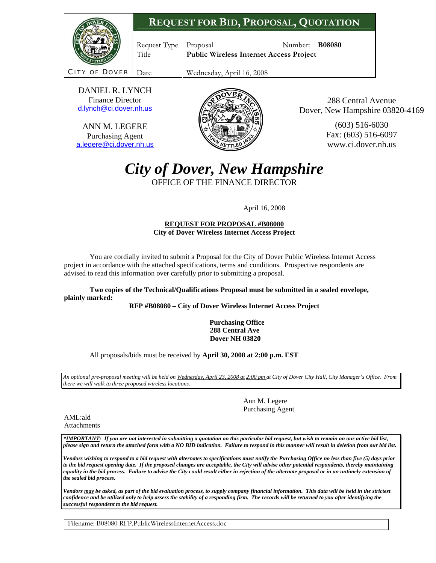# **REQUEST FOR BID, PROPOSAL, QUOTATION**



Request Type Proposal Number: **B08080** Title **Public Wireless Internet Access Project** 

**OF DOVER** Date Wednesday, April 16, 2008

DANIEL R. LYNCH Finance Director [d.lynch@ci.dover.nh.us](mailto:d.lynch@ci.dover.nh.us)

ANN M. LEGERE Purchasing Agent [a.legere@ci.dover.nh.us](mailto:d.kelly@ci.dover.nh.us)



288 Central Avenue Dover, New Hampshire 03820-4169

> (603) 516-6030 Fax: (603) 516-6097 www.ci.dover.nh.us

# *City of Dover, New Hampshire*

OFFICE OF THE FINANCE DIRECTOR

April 16, 2008

#### **REQUEST FOR PROPOSAL #B08080 City of Dover Wireless Internet Access Project**

 You are cordially invited to submit a Proposal for the City of Dover Public Wireless Internet Access project in accordance with the attached specifications, terms and conditions. Prospective respondents are advised to read this information over carefully prior to submitting a proposal.

**Two copies of the Technical/Qualifications Proposal must be submitted in a sealed envelope, plainly marked:** 

**RFP #B08080 – City of Dover Wireless Internet Access Project** 

 **Purchasing Office 288 Central Ave Dover NH 03820** 

All proposals/bids must be received by **April 30, 2008 at 2:00 p.m. EST** 

*An optional pre-proposal meeting will be held on Wednesday, April 23, 2008 at 2:00 pm at City of Dover City Hall, City Manager's Office. From there we will walk to three proposed wireless locations.* 

> Ann M. Legere Purchasing Agent

AML:ald Attachments

*\*IMPORTANT: If you are not interested in submitting a quotation on this particular bid request, but wish to remain on our active bid list, please sign and return the attached form with a NO BID indication. Failure to respond in this manner will result in deletion from our bid list.* 

*Vendors wishing to respond to a bid request with alternates to specifications must notify the Purchasing Office no less than five (5) days prior to the bid request opening date. If the proposed changes are acceptable, the City will advise other potential respondents, thereby maintaining*  equality in the bid process. Failure to advise the City could result either in rejection of the alternate proposal or in an untimely extension of *the sealed bid process.* 

*Vendors may be asked, as part of the bid evaluation process, to supply company financial information. This data will be held in the strictest confidence and be utilized only to help assess the stability of a responding firm. The records will be returned to you after identifying the successful respondent to the bid request.*

Filename: B08080 RFP.PublicWirelessInternetAccess.doc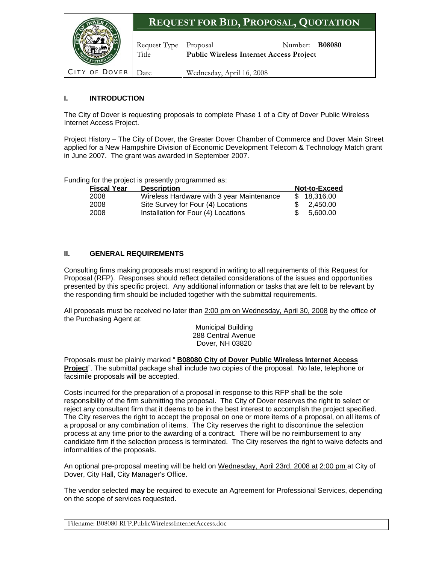

#### **I. INTRODUCTION**

The City of Dover is requesting proposals to complete Phase 1 of a City of Dover Public Wireless Internet Access Project.

Project History – The City of Dover, the Greater Dover Chamber of Commerce and Dover Main Street applied for a New Hampshire Division of Economic Development Telecom & Technology Match grant in June 2007. The grant was awarded in September 2007.

Funding for the project is presently programmed as:

| <b>Fiscal Year</b> | <b>Description</b>                        | Not-to-Exceed |
|--------------------|-------------------------------------------|---------------|
| 2008               | Wireless Hardware with 3 year Maintenance | \$18.316.00   |
| 2008               | Site Survey for Four (4) Locations        | 2.450.00      |
| 2008               | Installation for Four (4) Locations       | 5.600.00      |

#### **II. GENERAL REQUIREMENTS**

Consulting firms making proposals must respond in writing to all requirements of this Request for Proposal (RFP). Responses should reflect detailed considerations of the issues and opportunities presented by this specific project. Any additional information or tasks that are felt to be relevant by the responding firm should be included together with the submittal requirements.

All proposals must be received no later than 2:00 pm on Wednesday, April 30, 2008 by the office of the Purchasing Agent at:

Municipal Building 288 Central Avenue Dover, NH 03820

Proposals must be plainly marked " **B08080 City of Dover Public Wireless Internet Access Project**". The submittal package shall include two copies of the proposal. No late, telephone or facsimile proposals will be accepted.

Costs incurred for the preparation of a proposal in response to this RFP shall be the sole responsibility of the firm submitting the proposal. The City of Dover reserves the right to select or reject any consultant firm that it deems to be in the best interest to accomplish the project specified. The City reserves the right to accept the proposal on one or more items of a proposal, on all items of a proposal or any combination of items. The City reserves the right to discontinue the selection process at any time prior to the awarding of a contract. There will be no reimbursement to any candidate firm if the selection process is terminated. The City reserves the right to waive defects and informalities of the proposals.

An optional pre-proposal meeting will be held on Wednesday, April 23rd, 2008 at 2:00 pm at City of Dover, City Hall, City Manager's Office.

The vendor selected **may** be required to execute an Agreement for Professional Services, depending on the scope of services requested.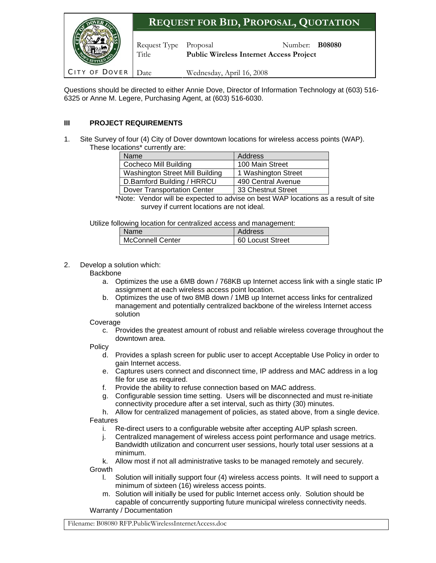|                      |                                | <b>REQUEST FOR BID, PROPOSAL, QUOTATION</b>    |                       |  |  |
|----------------------|--------------------------------|------------------------------------------------|-----------------------|--|--|
|                      | Request Type Proposal<br>Title | <b>Public Wireless Internet Access Project</b> | Number: <b>B08080</b> |  |  |
| <b>CITY OF DOVER</b> | Date                           | Wednesday, April 16, 2008                      |                       |  |  |

Questions should be directed to either Annie Dove, Director of Information Technology at (603) 516- 6325 or Anne M. Legere, Purchasing Agent, at (603) 516-6030.

#### **III PROJECT REQUIREMENTS**

1. Site Survey of four (4) City of Dover downtown locations for wireless access points (WAP). These locations\* currently are:

| Name                               | Address             |
|------------------------------------|---------------------|
| <b>Cocheco Mill Building</b>       | 100 Main Street     |
| Washington Street Mill Building    | 1 Washington Street |
| D.Bamford Building / HRRCU         | 490 Central Avenue  |
| <b>Dover Transportation Center</b> | 33 Chestnut Street  |

 \*Note: Vendor will be expected to advise on best WAP locations as a result of site survey if current locations are not ideal.

Utilize following location for centralized access and management:

| <b>Name</b>             | Address          |
|-------------------------|------------------|
| <b>McConnell Center</b> | 60 Locust Street |

#### 2. Develop a solution which:

Backbone

- a. Optimizes the use a 6MB down / 768KB up Internet access link with a single static IP assignment at each wireless access point location.
- b. Optimizes the use of two 8MB down / 1MB up Internet access links for centralized management and potentially centralized backbone of the wireless Internet access solution

#### **Coverage**

c. Provides the greatest amount of robust and reliable wireless coverage throughout the downtown area.

**Policy** 

- d. Provides a splash screen for public user to accept Acceptable Use Policy in order to gain Internet access.
- e. Captures users connect and disconnect time, IP address and MAC address in a log file for use as required.
- f. Provide the ability to refuse connection based on MAC address.
- g. Configurable session time setting. Users will be disconnected and must re-initiate connectivity procedure after a set interval, such as thirty (30) minutes.
- h. Allow for centralized management of policies, as stated above, from a single device. **Features** 
	- i. Re-direct users to a configurable website after accepting AUP splash screen.
	- j. Centralized management of wireless access point performance and usage metrics. Bandwidth utilization and concurrent user sessions, hourly total user sessions at a minimum.

k. Allow most if not all administrative tasks to be managed remotely and securely. Growth

- l. Solution will initially support four (4) wireless access points. It will need to support a minimum of sixteen (16) wireless access points.
- m. Solution will initially be used for public Internet access only. Solution should be capable of concurrently supporting future municipal wireless connectivity needs. Warranty / Documentation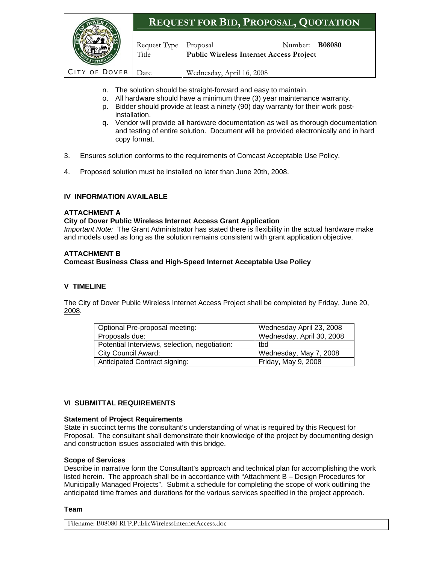

- n. The solution should be straight-forward and easy to maintain.
- o. All hardware should have a minimum three (3) year maintenance warranty.
- p. Bidder should provide at least a ninety (90) day warranty for their work postinstallation.
- q. Vendor will provide all hardware documentation as well as thorough documentation and testing of entire solution. Document will be provided electronically and in hard copy format.
- 3. Ensures solution conforms to the requirements of Comcast Acceptable Use Policy.
- 4. Proposed solution must be installed no later than June 20th, 2008.

#### **IV INFORMATION AVAILABLE**

#### **ATTACHMENT A**

#### **City of Dover Public Wireless Internet Access Grant Application**

*Important Note:* The Grant Administrator has stated there is flexibility in the actual hardware make and models used as long as the solution remains consistent with grant application objective.

#### **ATTACHMENT B**

#### **Comcast Business Class and High-Speed Internet Acceptable Use Policy**

#### **V TIMELINE**

The City of Dover Public Wireless Internet Access Project shall be completed by Friday, June 20, 2008.

| Optional Pre-proposal meeting:                | Wednesday April 23, 2008  |
|-----------------------------------------------|---------------------------|
| Proposals due:                                | Wednesday, April 30, 2008 |
| Potential Interviews, selection, negotiation: | tbd                       |
| <b>City Council Award:</b>                    | Wednesday, May 7, 2008    |
| Anticipated Contract signing:                 | Friday, May 9, 2008       |

#### **VI SUBMITTAL REQUIREMENTS**

#### **Statement of Project Requirements**

State in succinct terms the consultant's understanding of what is required by this Request for Proposal. The consultant shall demonstrate their knowledge of the project by documenting design and construction issues associated with this bridge.

#### **Scope of Services**

Describe in narrative form the Consultant's approach and technical plan for accomplishing the work listed herein. The approach shall be in accordance with "Attachment B – Design Procedures for Municipally Managed Projects". Submit a schedule for completing the scope of work outlining the anticipated time frames and durations for the various services specified in the project approach.

#### **Team**

Filename: B08080 RFP.PublicWirelessInternetAccess.doc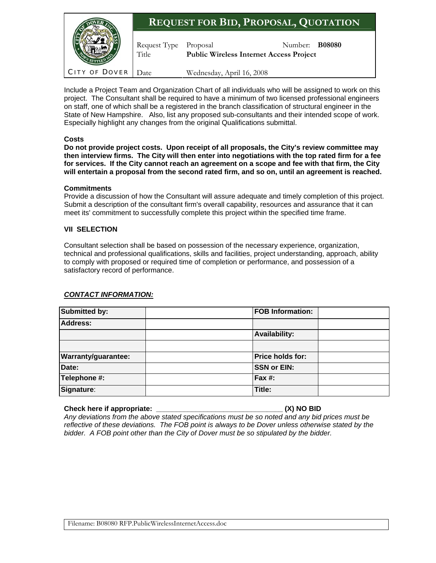|                      |                                | <b>REQUEST FOR BID, PROPOSAL, QUOTATION</b>    |                       |  |  |
|----------------------|--------------------------------|------------------------------------------------|-----------------------|--|--|
|                      | Request Type Proposal<br>Title | <b>Public Wireless Internet Access Project</b> | Number: <b>B08080</b> |  |  |
| <b>CITY OF DOVER</b> | l Date                         | Wednesday, April 16, 2008                      |                       |  |  |

Include a Project Team and Organization Chart of all individuals who will be assigned to work on this project. The Consultant shall be required to have a minimum of two licensed professional engineers on staff, one of which shall be a registered in the branch classification of structural engineer in the State of New Hampshire. Also, list any proposed sub-consultants and their intended scope of work. Especially highlight any changes from the original Qualifications submittal.

#### **Costs**

**Do not provide project costs. Upon receipt of all proposals, the City's review committee may then interview firms. The City will then enter into negotiations with the top rated firm for a fee for services. If the City cannot reach an agreement on a scope and fee with that firm, the City will entertain a proposal from the second rated firm, and so on, until an agreement is reached.** 

#### **Commitments**

Provide a discussion of how the Consultant will assure adequate and timely completion of this project. Submit a description of the consultant firm's overall capability, resources and assurance that it can meet its' commitment to successfully complete this project within the specified time frame.

#### **VII SELECTION**

Consultant selection shall be based on possession of the necessary experience, organization, technical and professional qualifications, skills and facilities, project understanding, approach, ability to comply with proposed or required time of completion or performance, and possession of a satisfactory record of performance.

#### *CONTACT INFORMATION:*

| Submitted by:       | <b>FOB Information:</b> |  |
|---------------------|-------------------------|--|
| <b>Address:</b>     |                         |  |
|                     | <b>Availability:</b>    |  |
|                     |                         |  |
| Warranty/guarantee: | Price holds for:        |  |
| Date:               | <b>SSN or EIN:</b>      |  |
| Telephone #:        | Fax #:                  |  |
| Signature:          | Title:                  |  |

#### **Check here if appropriate: \_\_\_\_\_\_\_\_\_\_\_\_\_\_\_\_\_\_\_\_\_\_\_\_\_\_\_\_\_\_\_\_ (X) NO BID**

*Any deviations from the above stated specifications must be so noted and any bid prices must be reflective of these deviations. The FOB point is always to be Dover unless otherwise stated by the bidder. A FOB point other than the City of Dover must be so stipulated by the bidder.*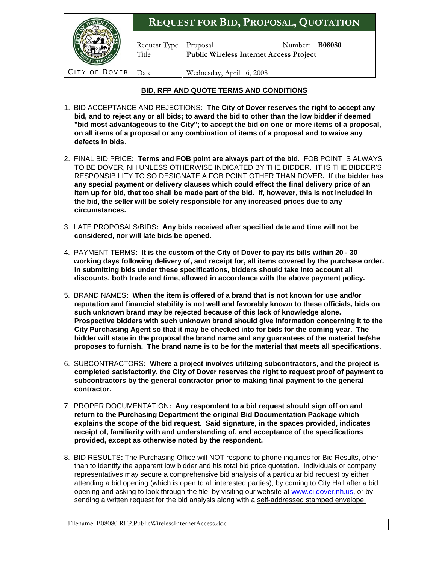

#### **BID, RFP AND QUOTE TERMS AND CONDITIONS**

- 1. BID ACCEPTANCE AND REJECTIONS**: The City of Dover reserves the right to accept any bid, and to reject any or all bids; to award the bid to other than the low bidder if deemed "bid most advantageous to the City"; to accept the bid on one or more items of a proposal, on all items of a proposal or any combination of items of a proposal and to waive any defects in bids**.
- 2. FINAL BID PRICE**: Terms and FOB point are always part of the bid**. FOB POINT IS ALWAYS TO BE DOVER, NH UNLESS OTHERWISE INDICATED BY THE BIDDER. IT IS THE BIDDER'S RESPONSIBILITY TO SO DESIGNATE A FOB POINT OTHER THAN DOVER**. If the bidder has any special payment or delivery clauses which could effect the final delivery price of an item up for bid, that too shall be made part of the bid. If, however, this is not included in the bid, the seller will be solely responsible for any increased prices due to any circumstances.**
- 3. LATE PROPOSALS/BIDS**: Any bids received after specified date and time will not be considered, nor will late bids be opened.**
- 4. PAYMENT TERMS**: It is the custom of the City of Dover to pay its bills within 20 30 working days following delivery of, and receipt for, all items covered by the purchase order. In submitting bids under these specifications, bidders should take into account all discounts, both trade and time, allowed in accordance with the above payment policy.**
- 5. BRAND NAMES**: When the item is offered of a brand that is not known for use and/or reputation and financial stability is not well and favorably known to these officials, bids on such unknown brand may be rejected because of this lack of knowledge alone. Prospective bidders with such unknown brand should give information concerning it to the City Purchasing Agent so that it may be checked into for bids for the coming year. The bidder will state in the proposal the brand name and any guarantees of the material he/she proposes to furnish. The brand name is to be for the material that meets all specifications.**
- 6. SUBCONTRACTORS**: Where a project involves utilizing subcontractors, and the project is completed satisfactorily, the City of Dover reserves the right to request proof of payment to subcontractors by the general contractor prior to making final payment to the general contractor.**
- 7. PROPER DOCUMENTATION**: Any respondent to a bid request should sign off on and return to the Purchasing Department the original Bid Documentation Package which explains the scope of the bid request. Said signature, in the spaces provided, indicates receipt of, familiarity with and understanding of, and acceptance of the specifications provided, except as otherwise noted by the respondent.**
- 8. BID RESULTS**:** The Purchasing Office will NOT respond to phone inquiries for Bid Results, other than to identify the apparent low bidder and his total bid price quotation. Individuals or company representatives may secure a comprehensive bid analysis of a particular bid request by either attending a bid opening (which is open to all interested parties); by coming to City Hall after a bid opening and asking to look through the file; by visiting our website at [www.ci.dover.nh.us](http://www.ci.dover.nh.us/), or by sending a written request for the bid analysis along with a self-addressed stamped envelope.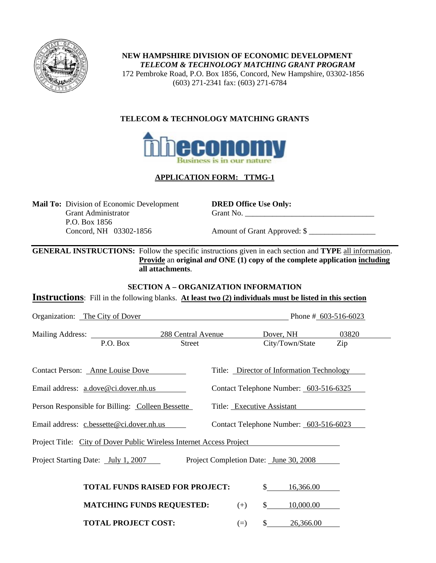

**NEW HAMPSHIRE DIVISION OF ECONOMIC DEVELOPMENT**   *TELECOM & TECHNOLOGY MATCHING GRANT PROGRAM*  172 Pembroke Road, P.O. Box 1856, Concord, New Hampshire, 03302-1856 (603) 271-2341 fax: (603) 271-6784

## **TELECOM & TECHNOLOGY MATCHING GRANTS**



## **APPLICATION FORM: TTMG-1**

**Mail To:** Division of Economic Development **DRED Office Use Only:**  P.O. Box 1856

Grant Administrator Grant No.

Concord, NH 03302-1856 Amount of Grant Approved: \$

**GENERAL INSTRUCTIONS:** Follow the specific instructions given in each section and **TYPE** all information. **Provide** an **original** *and* **ONE (1) copy of the complete application including all attachments**.

#### **SECTION A – ORGANIZATION INFORMATION**

**Instructions**: Fill in the following blanks. **At least two (2) individuals must be listed in this section**

| Organization: The City of Dover |                                                                      |                    |                            |                                           | Phone # $603-516-6023$ |
|---------------------------------|----------------------------------------------------------------------|--------------------|----------------------------|-------------------------------------------|------------------------|
|                                 |                                                                      | 288 Central Avenue |                            | Dover, NH                                 | 03820                  |
|                                 | P.O. Box                                                             | Street             |                            | City/Town/State                           | Zip                    |
|                                 | Contact Person: Anne Louise Dove                                     |                    |                            | Title: Director of Information Technology |                        |
|                                 | Email address: a.dove@ci.dover.nh.us                                 |                    |                            | Contact Telephone Number: 603-516-6325    |                        |
|                                 | Person Responsible for Billing: Colleen Bessette                     |                    | Title: Executive Assistant |                                           |                        |
|                                 | Email address: c.bessette@ci.dover.nh.us                             |                    |                            | Contact Telephone Number: 603-516-6023    |                        |
|                                 | Project Title: City of Dover Public Wireless Internet Access Project |                    |                            |                                           |                        |
|                                 | Project Starting Date: July 1, 2007                                  |                    |                            | Project Completion Date: June 30, 2008    |                        |
|                                 |                                                                      |                    |                            |                                           |                        |
|                                 | <b>TOTAL FUNDS RAISED FOR PROJECT:</b>                               |                    |                            | $\mathbb{S}$<br>16,366.00                 |                        |
|                                 | <b>MATCHING FUNDS REQUESTED:</b>                                     |                    | $(+)$                      | $\mathbb{S}$<br>10,000.00                 |                        |
|                                 | <b>TOTAL PROJECT COST:</b>                                           |                    | $(=)$                      | 26,366.00<br>S.                           |                        |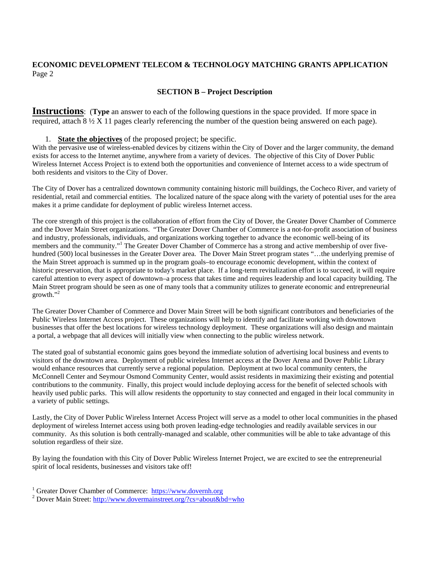#### **ECONOMIC DEVELOPMENT TELECOM & TECHNOLOGY MATCHING GRANTS APPLICATION**  Page 2

#### **SECTION B – Project Description**

**Instructions**: (Type an answer to each of the following questions in the space provided. If more space in required, attach  $8\frac{1}{2}$  X 11 pages clearly referencing the number of the question being answered on each page).

1. **State the objectives** of the proposed project; be specific.

With the pervasive use of wireless-enabled devices by citizens within the City of Dover and the larger community, the demand exists for access to the Internet anytime, anywhere from a variety of devices. The objective of this City of Dover Public Wireless Internet Access Project is to extend both the opportunities and convenience of Internet access to a wide spectrum of both residents and visitors to the City of Dover.

The City of Dover has a centralized downtown community containing historic mill buildings, the Cocheco River, and variety of residential, retail and commercial entities. The localized nature of the space along with the variety of potential uses for the area makes it a prime candidate for deployment of public wireless Internet access.

The core strength of this project is the collaboration of effort from the City of Dover, the Greater Dover Chamber of Commerce and the Dover Main Street organizations. "The Greater Dover Chamber of Commerce is a not-for-profit association of business and industry, professionals, individuals, and organizations working together to advance the economic well-being of its members and the community."<sup>1</sup> The Greater Dover Chamber of Commerce has a strong and active membership of over fivehundred (500) local businesses in the Greater Dover area. The Dover Main Street program states "...the underlying premise of the Main Street approach is summed up in the program goals–to encourage economic development, within the context of historic preservation, that is appropriate to today's market place. If a long-term revitalization effort is to succeed, it will require careful attention to every aspect of downtown–a process that takes time and requires leadership and local capacity building. The Main Street program should be seen as one of many tools that a community utilizes to generate economic and entrepreneurial growth."<sup>2</sup>

The Greater Dover Chamber of Commerce and Dover Main Street will be both significant contributors and beneficiaries of the Public Wireless Internet Access project. These organizations will help to identify and facilitate working with downtown businesses that offer the best locations for wireless technology deployment. These organizations will also design and maintain a portal, a webpage that all devices will initially view when connecting to the public wireless network.

The stated goal of substantial economic gains goes beyond the immediate solution of advertising local business and events to visitors of the downtown area. Deployment of public wireless Internet access at the Dover Arena and Dover Public Library would enhance resources that currently serve a regional population. Deployment at two local community centers, the McConnell Center and Seymour Osmond Community Center, would assist residents in maximizing their existing and potential contributions to the community. Finally, this project would include deploying access for the benefit of selected schools with heavily used public parks. This will allow residents the opportunity to stay connected and engaged in their local community in a variety of public settings.

Lastly, the City of Dover Public Wireless Internet Access Project will serve as a model to other local communities in the phased deployment of wireless Internet access using both proven leading-edge technologies and readily available services in our community. As this solution is both centrally-managed and scalable, other communities will be able to take advantage of this solution regardless of their size.

By laying the foundation with this City of Dover Public Wireless Internet Project, we are excited to see the entrepreneurial spirit of local residents, businesses and visitors take off!

<sup>&</sup>lt;sup>1</sup> Greater Dover Chamber of Commerce: https://www.dovernh.org<br><sup>2</sup> Deven Mein Street: https://www.dovernesipatreet.crg/2se-shout&h

<sup>&</sup>lt;sup>2</sup> Dover Main Street: http://www.dovermainstreet.org/?cs=about&bd=who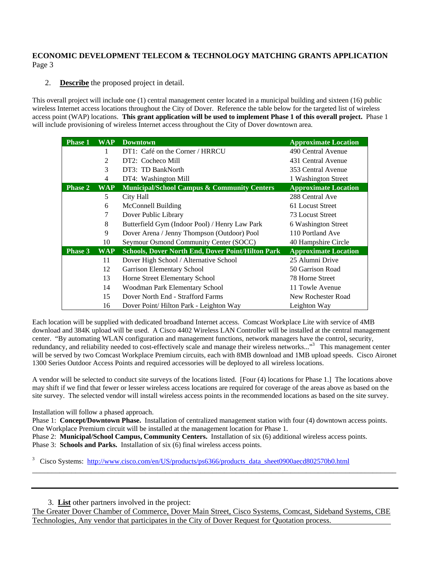#### **ECONOMIC DEVELOPMENT TELECOM & TECHNOLOGY MATCHING GRANTS APPLICATION**  Page 3

2. **Describe** the proposed project in detail.

This overall project will include one (1) central management center located in a municipal building and sixteen (16) public wireless Internet access locations throughout the City of Dover. Reference the table below for the targeted list of wireless access point (WAP) locations. **This grant application will be used to implement Phase 1 of this overall project.** Phase 1 will include provisioning of wireless Internet access throughout the City of Dover downtown area.

| Phase 1        | <b>WAP</b> | <b>Downtown</b>                                                       | <b>Approximate Location</b> |  |  |
|----------------|------------|-----------------------------------------------------------------------|-----------------------------|--|--|
|                |            | DT1: Café on the Corner / HRRCU                                       | 490 Central Avenue          |  |  |
|                | 2          | DT2: Cocheco Mill                                                     | 431 Central Avenue          |  |  |
|                | 3          | DT3: TD BankNorth                                                     | 353 Central Avenue          |  |  |
|                | 4          | DT4: Washington Mill                                                  | 1 Washington Street         |  |  |
| <b>Phase 2</b> | <b>WAP</b> | <b>Municipal/School Campus &amp; Community Centers</b>                | <b>Approximate Location</b> |  |  |
|                | 5          | City Hall                                                             | 288 Central Ave             |  |  |
|                | 6          | McConnell Building                                                    | 61 Locust Street            |  |  |
|                | 7          | Dover Public Library                                                  | 73 Locust Street            |  |  |
|                | 8          | Butterfield Gym (Indoor Pool) / Henry Law Park<br>6 Washington Street |                             |  |  |
|                | 9          | 110 Portland Ave<br>Dover Arena / Jenny Thompson (Outdoor) Pool       |                             |  |  |
|                | 10         | Seymour Osmond Community Center (SOCC)<br>40 Hampshire Circle         |                             |  |  |
| <b>Phase 3</b> | <b>WAP</b> | <b>Schools, Dover North End, Dover Point/Hilton Park</b>              | <b>Approximate Location</b> |  |  |
|                | 11         | Dover High School / Alternative School                                | 25 Alumni Drive             |  |  |
|                | 12         | Garrison Elementary School                                            | 50 Garrison Road            |  |  |
|                | 13         | Horne Street Elementary School                                        | 78 Horne Street             |  |  |
|                | 14         | Woodman Park Elementary School                                        | 11 Towle Avenue             |  |  |
|                | 15         | Dover North End - Strafford Farms                                     | New Rochester Road          |  |  |
|                | 16         | Dover Point/Hilton Park - Leighton Way                                | Leighton Way                |  |  |

Each location will be supplied with dedicated broadband Internet access. Comcast Workplace Lite with service of 4MB download and 384K upload will be used. A Cisco 4402 Wireless LAN Controller will be installed at the central management center. "By automating WLAN configuration and management functions, network managers have the control, security, redundancy, and reliability needed to cost-effectively scale and manage their wireless networks..."<sup>3</sup> This management center will be served by two Comcast Workplace Premium circuits, each with 8MB download and 1MB upload speeds. Cisco Aironet 1300 Series Outdoor Access Points and required accessories will be deployed to all wireless locations.

A vendor will be selected to conduct site surveys of the locations listed. [Four (4) locations for Phase 1.] The locations above may shift if we find that fewer or lesser wireless access locations are required for coverage of the areas above as based on the site survey. The selected vendor will install wireless access points in the recommended locations as based on the site survey.

Installation will follow a phased approach.

Phase 1: **Concept/Downtown Phase.** Installation of centralized management station with four (4) downtown access points. One Workplace Premium circuit will be installed at the management location for Phase 1.

Phase 2: **Municipal/School Campus, Community Centers.** Installation of six (6) additional wireless access points. Phase 3: **Schools and Parks.** Installation of six (6) final wireless access points.

<sup>3</sup> Cisco Systems: http://www.cisco.com/en/US/products/ps6366/products\_data\_sheet0900aecd802570b0.html

3. **List** other partners involved in the project:

The Greater Dover Chamber of Commerce, Dover Main Street, Cisco Systems, Comcast, Sideband Systems, CBE Technologies, Any vendor that participates in the City of Dover Request for Quotation process.

\_\_\_\_\_\_\_\_\_\_\_\_\_\_\_\_\_\_\_\_\_\_\_\_\_\_\_\_\_\_\_\_\_\_\_\_\_\_\_\_\_\_\_\_\_\_\_\_\_\_\_\_\_\_\_\_\_\_\_\_\_\_\_\_\_\_\_\_\_\_\_\_\_\_\_\_\_\_\_\_\_\_\_\_\_\_\_\_\_\_\_\_\_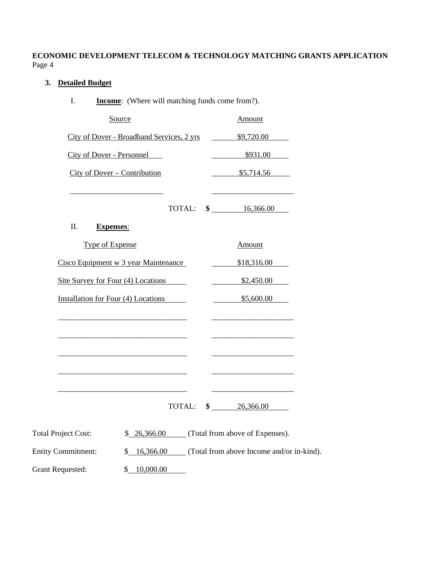**ECONOMIC DEVELOPMENT TELECOM & TECHNOLOGY MATCHING GRANTS APPLICATION** Page 4

#### **3. Detailed Budget**

I. **Income**: (Where will matching funds come from?). Source Amount City of Dover - Broadband Services, 2 yrs \$9,720.00 City of Dover - Personnel \$931.00 City of Dover – Contribution  $$5,714.56$  $\overline{\phantom{a}}$  ,  $\overline{\phantom{a}}$  ,  $\overline{\phantom{a}}$  ,  $\overline{\phantom{a}}$  ,  $\overline{\phantom{a}}$  ,  $\overline{\phantom{a}}$  ,  $\overline{\phantom{a}}$  ,  $\overline{\phantom{a}}$  ,  $\overline{\phantom{a}}$  ,  $\overline{\phantom{a}}$  ,  $\overline{\phantom{a}}$  ,  $\overline{\phantom{a}}$  ,  $\overline{\phantom{a}}$  ,  $\overline{\phantom{a}}$  ,  $\overline{\phantom{a}}$  ,  $\overline{\phantom{a}}$  TOTAL: **\$** 16,366.00 II. **Expenses**: Type of Expense Amount Cisco Equipment w 3 year Maintenance \$18,316.00 Site Survey for Four (4) Locations \$2,450.00 Installation for Four (4) Locations  $$5,600.00$ \_\_\_\_\_\_\_\_\_\_\_\_\_\_\_\_\_\_\_\_\_\_\_\_\_\_\_\_\_\_\_\_\_ \_\_\_\_\_\_\_\_\_\_\_\_\_\_\_\_\_\_\_\_\_ \_\_\_\_\_\_\_\_\_\_\_\_\_\_\_\_\_\_\_\_\_\_\_\_\_\_\_\_\_\_\_\_\_ \_\_\_\_\_\_\_\_\_\_\_\_\_\_\_\_\_\_\_\_\_ \_\_\_\_\_\_\_\_\_\_\_\_\_\_\_\_\_\_\_\_\_\_\_\_\_\_\_\_\_\_\_\_\_ \_\_\_\_\_\_\_\_\_\_\_\_\_\_\_\_\_\_\_\_\_ \_\_\_\_\_\_\_\_\_\_\_\_\_\_\_\_\_\_\_\_\_\_\_\_\_\_\_\_\_\_\_\_\_ \_\_\_\_\_\_\_\_\_\_\_\_\_\_\_\_\_\_\_\_\_ \_\_\_\_\_\_\_\_\_\_\_\_\_\_\_\_\_\_\_\_\_\_\_\_\_\_\_\_\_\_\_\_\_ \_\_\_\_\_\_\_\_\_\_\_\_\_\_\_\_\_\_\_\_\_ TOTAL: **\$** 26,366.00

| Total Project Cost:       | \$26,366.00 | (Total from above of Expenses).           |
|---------------------------|-------------|-------------------------------------------|
| <b>Entity Commitment:</b> | 16,366.00   | (Total from above Income and/or in-kind). |
| <b>Grant Requested:</b>   | 10,000.00   |                                           |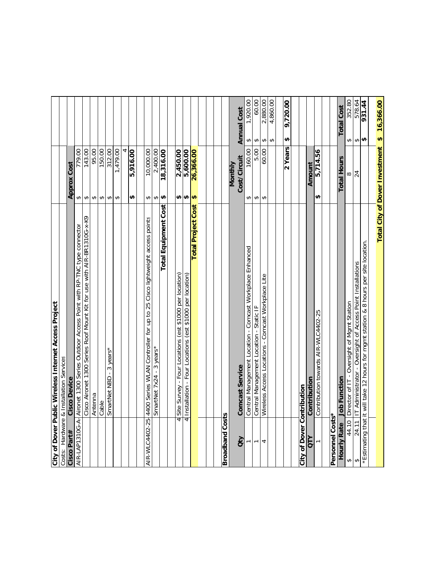|                                          | City of Dover Public Wireless Internet Access Project                                   |                        |                                       |                   |                    |
|------------------------------------------|-----------------------------------------------------------------------------------------|------------------------|---------------------------------------|-------------------|--------------------|
|                                          | Costs: Hardware & Installation Services                                                 |                        |                                       |                   |                    |
| Cisco Part#                              | <b>Cisco Device</b>                                                                     |                        | <b>Approx Cost</b>                    |                   |                    |
|                                          | AIR-LAP1310G-A- Aironet 1300 Series Outdoor Access Point with RP-TNC type connector     | ↮                      | 779.00                                |                   |                    |
|                                          | Cisco Aironet 1300 Series Roof Mount Kit for use with AIR-BR1310G-x-K9                  | $\leftrightarrow$      | 143.00                                |                   |                    |
|                                          | Antenna                                                                                 | $\leftrightarrow$      | 95.00                                 |                   |                    |
|                                          | Cable                                                                                   | ↮                      | 150.00                                |                   |                    |
|                                          | $-3$ years*<br>SmartNet NBD                                                             | $\boldsymbol{\varphi}$ | 312.00                                |                   |                    |
|                                          |                                                                                         | $\leftrightarrow$      | 1,479.00                              |                   |                    |
|                                          |                                                                                         |                        |                                       |                   |                    |
|                                          |                                                                                         | $\theta$               | 5,916.00                              |                   |                    |
|                                          | AIR-WLC4402-25-4400 Series WLAN Controller for up to 25 Cisco lightweight access points | ↮                      | 10,000.00                             |                   |                    |
|                                          | SmartNet 7x24 - 3 years*                                                                | ↔                      | 2,400.00                              |                   |                    |
|                                          | <b>Total Equipment Cost</b>                                                             | ↮                      | 18,316.00                             |                   |                    |
|                                          |                                                                                         |                        |                                       |                   |                    |
|                                          | Site Survey - Four Locations (est \$1000 per location)<br>$\overline{4}$                | ↮                      | 2,450.00                              |                   |                    |
|                                          | 4 Installation - Four Locations (est \$1000 per location)                               | ↮                      | 5,600.00                              |                   |                    |
|                                          | <b>Total Project Cost</b>                                                               | $\boldsymbol{\varphi}$ | 26,366.00                             |                   |                    |
|                                          |                                                                                         |                        |                                       |                   |                    |
| <b>Broadband Costs</b>                   |                                                                                         |                        |                                       |                   |                    |
|                                          |                                                                                         |                        | <b>Monthly</b>                        |                   |                    |
| Qty                                      | Comcast Service                                                                         |                        | Cost/Circuit                          |                   | <b>Annual Cost</b> |
|                                          | Central Management Location - Comcast Workplace Enhanced                                | ↮                      | 160.00                                | ↮                 | ,920.00            |
| $\overline{ }$                           | Central Management Location - Static IP                                                 | ↮                      | 5.00                                  | ↮                 | 60.00              |
| 4                                        | Wireless Access Locations - Comcast Workplace Lite                                      | ↮                      | 60.00                                 | ↮                 | 2,880.00           |
|                                          |                                                                                         |                        |                                       | ↮                 | 4,860.00           |
|                                          |                                                                                         |                        |                                       | ↮                 | 9,720.00           |
|                                          |                                                                                         |                        | 2 Years                               |                   |                    |
| <b>City of Dover Contribution</b>        |                                                                                         |                        |                                       |                   |                    |
| ΣP                                       | Contribution                                                                            |                        | Amount                                |                   |                    |
|                                          | Contribution towards AIR-WLC4402-25                                                     | ↮                      | 5,714.56                              |                   |                    |
| Personnel Costs*                         |                                                                                         |                        |                                       |                   |                    |
| <b>Hourly Rate</b>                       | <b>Job Function</b>                                                                     |                        | <b>Total Hours</b>                    |                   | <b>Total Cost</b>  |
| $\leftrightarrow$                        | 44.10 Director of IT - Oversight of Mgmt Station                                        |                        | $\infty$                              | ↮                 | 352.80             |
| $\sqrt{24.11}$<br>$\boldsymbol{\varphi}$ | IT Administrator - Oversight of Access Point Installations                              |                        | 24                                    | $\leftrightarrow$ | 578.64             |
|                                          | *Estimating that it will take 12 hours for mgmt station & 8 hours per site location.    |                        |                                       | $\bullet$         | 931.44             |
|                                          |                                                                                         |                        |                                       |                   |                    |
|                                          |                                                                                         |                        | <b>Total City of Dover Investment</b> |                   | \$16,366.00        |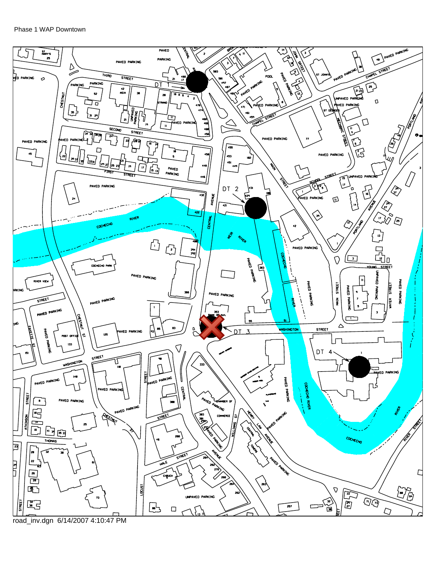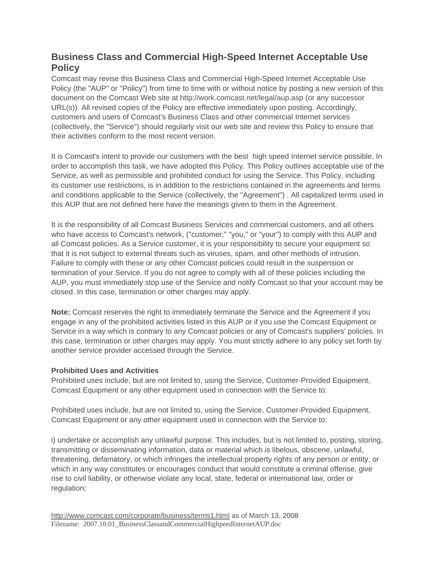## **Business Class and Commercial High-Speed Internet Acceptable Use Policy**

Comcast may revise this Business Class and Commercial High-Speed Internet Acceptable Use Policy (the "AUP" or "Policy") from time to time with or without notice by posting a new version of this document on the Comcast Web site at http://work.comcast.net/legal/aup.asp (or any successor URL(s)). All revised copies of the Policy are effective immediately upon posting. Accordingly, customers and users of Comcast's Business Class and other commercial Internet services (collectively, the "Service") should regularly visit our web site and review this Policy to ensure that their activities conform to the most recent version.

It is Comcast's intent to provide our customers with the best high speed Internet service possible. In order to accomplish this task, we have adopted this Policy. This Policy outlines acceptable use of the Service, as well as permissible and prohibited conduct for using the Service. This Policy, including its customer use restrictions, is in addition to the restrictions contained in the agreements and terms and conditions applicable to the Service (collectively, the "Agreement") . All capitalized terms used in this AUP that are not defined here have the meanings given to them in the Agreement.

It is the responsibility of all Comcast Business Services and commercial customers, and all others who have access to Comcast's network, ("customer," "you," or "your") to comply with this AUP and all Comcast policies. As a Service customer, it is your responsibility to secure your equipment so that it is not subject to external threats such as viruses, spam, and other methods of intrusion. Failure to comply with these or any other Comcast policies could result in the suspension or termination of your Service. If you do not agree to comply with all of these policies including the AUP, you must immediately stop use of the Service and notify Comcast so that your account may be closed. In this case, termination or other charges may apply.

**Note:** Comcast reserves the right to immediately terminate the Service and the Agreement if you engage in any of the prohibited activities listed in this AUP or if you use the Comcast Equipment or Service in a way which is contrary to any Comcast policies or any of Comcast's suppliers' policies. In this case, termination or other charges may apply. You must strictly adhere to any policy set forth by another service provider accessed through the Service.

#### **Prohibited Uses and Activities**

Prohibited uses include, but are not limited to, using the Service, Customer-Provided Equipment, Comcast Equipment or any other equipment used in connection with the Service to:

Prohibited uses include, but are not limited to, using the Service, Customer-Provided Equipment, Comcast Equipment or any other equipment used in connection with the Service to:

i) undertake or accomplish any unlawful purpose. This includes, but is not limited to, posting, storing, transmitting or disseminating information, data or material which is libelous, obscene, unlawful, threatening, defamatory, or which infringes the intellectual property rights of any person or entity, or which in any way constitutes or encourages conduct that would constitute a criminal offense, give rise to civil liability, or otherwise violate any local, state, federal or international law, order or regulation;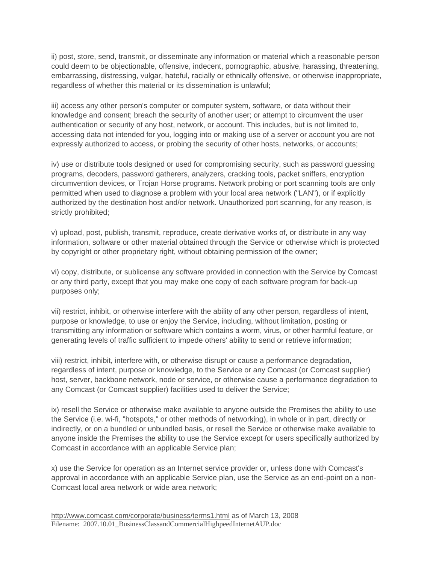ii) post, store, send, transmit, or disseminate any information or material which a reasonable person could deem to be objectionable, offensive, indecent, pornographic, abusive, harassing, threatening, embarrassing, distressing, vulgar, hateful, racially or ethnically offensive, or otherwise inappropriate, regardless of whether this material or its dissemination is unlawful;

iii) access any other person's computer or computer system, software, or data without their knowledge and consent; breach the security of another user; or attempt to circumvent the user authentication or security of any host, network, or account. This includes, but is not limited to, accessing data not intended for you, logging into or making use of a server or account you are not expressly authorized to access, or probing the security of other hosts, networks, or accounts;

iv) use or distribute tools designed or used for compromising security, such as password guessing programs, decoders, password gatherers, analyzers, cracking tools, packet sniffers, encryption circumvention devices, or Trojan Horse programs. Network probing or port scanning tools are only permitted when used to diagnose a problem with your local area network ("LAN"), or if explicitly authorized by the destination host and/or network. Unauthorized port scanning, for any reason, is strictly prohibited;

v) upload, post, publish, transmit, reproduce, create derivative works of, or distribute in any way information, software or other material obtained through the Service or otherwise which is protected by copyright or other proprietary right, without obtaining permission of the owner;

vi) copy, distribute, or sublicense any software provided in connection with the Service by Comcast or any third party, except that you may make one copy of each software program for back-up purposes only;

vii) restrict, inhibit, or otherwise interfere with the ability of any other person, regardless of intent, purpose or knowledge, to use or enjoy the Service, including, without limitation, posting or transmitting any information or software which contains a worm, virus, or other harmful feature, or generating levels of traffic sufficient to impede others' ability to send or retrieve information;

viii) restrict, inhibit, interfere with, or otherwise disrupt or cause a performance degradation, regardless of intent, purpose or knowledge, to the Service or any Comcast (or Comcast supplier) host, server, backbone network, node or service, or otherwise cause a performance degradation to any Comcast (or Comcast supplier) facilities used to deliver the Service;

ix) resell the Service or otherwise make available to anyone outside the Premises the ability to use the Service (i.e. wi-fi, "hotspots," or other methods of networking), in whole or in part, directly or indirectly, or on a bundled or unbundled basis, or resell the Service or otherwise make available to anyone inside the Premises the ability to use the Service except for users specifically authorized by Comcast in accordance with an applicable Service plan;

x) use the Service for operation as an Internet service provider or, unless done with Comcast's approval in accordance with an applicable Service plan, use the Service as an end-point on a non-Comcast local area network or wide area network;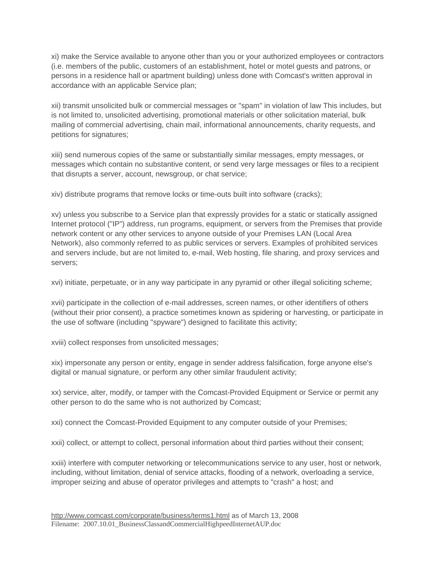xi) make the Service available to anyone other than you or your authorized employees or contractors (i.e. members of the public, customers of an establishment, hotel or motel guests and patrons, or persons in a residence hall or apartment building) unless done with Comcast's written approval in accordance with an applicable Service plan;

xii) transmit unsolicited bulk or commercial messages or "spam" in violation of law This includes, but is not limited to, unsolicited advertising, promotional materials or other solicitation material, bulk mailing of commercial advertising, chain mail, informational announcements, charity requests, and petitions for signatures;

xiii) send numerous copies of the same or substantially similar messages, empty messages, or messages which contain no substantive content, or send very large messages or files to a recipient that disrupts a server, account, newsgroup, or chat service;

xiv) distribute programs that remove locks or time-outs built into software (cracks);

xv) unless you subscribe to a Service plan that expressly provides for a static or statically assigned Internet protocol ("IP") address, run programs, equipment, or servers from the Premises that provide network content or any other services to anyone outside of your Premises LAN (Local Area Network), also commonly referred to as public services or servers. Examples of prohibited services and servers include, but are not limited to, e-mail, Web hosting, file sharing, and proxy services and servers;

xvi) initiate, perpetuate, or in any way participate in any pyramid or other illegal soliciting scheme;

xvii) participate in the collection of e-mail addresses, screen names, or other identifiers of others (without their prior consent), a practice sometimes known as spidering or harvesting, or participate in the use of software (including "spyware") designed to facilitate this activity;

xviii) collect responses from unsolicited messages;

xix) impersonate any person or entity, engage in sender address falsification, forge anyone else's digital or manual signature, or perform any other similar fraudulent activity;

xx) service, alter, modify, or tamper with the Comcast-Provided Equipment or Service or permit any other person to do the same who is not authorized by Comcast;

xxi) connect the Comcast-Provided Equipment to any computer outside of your Premises;

xxii) collect, or attempt to collect, personal information about third parties without their consent;

xxiii) interfere with computer networking or telecommunications service to any user, host or network, including, without limitation, denial of service attacks, flooding of a network, overloading a service, improper seizing and abuse of operator privileges and attempts to "crash" a host; and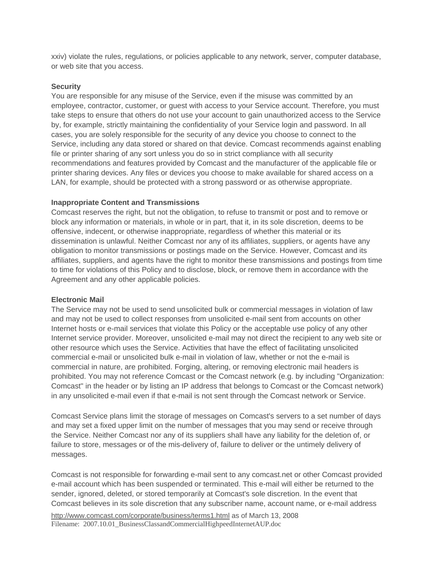xxiv) violate the rules, regulations, or policies applicable to any network, server, computer database, or web site that you access.

#### **Security**

You are responsible for any misuse of the Service, even if the misuse was committed by an employee, contractor, customer, or guest with access to your Service account. Therefore, you must take steps to ensure that others do not use your account to gain unauthorized access to the Service by, for example, strictly maintaining the confidentiality of your Service login and password. In all cases, you are solely responsible for the security of any device you choose to connect to the Service, including any data stored or shared on that device. Comcast recommends against enabling file or printer sharing of any sort unless you do so in strict compliance with all security recommendations and features provided by Comcast and the manufacturer of the applicable file or printer sharing devices. Any files or devices you choose to make available for shared access on a LAN, for example, should be protected with a strong password or as otherwise appropriate.

#### **Inappropriate Content and Transmissions**

Comcast reserves the right, but not the obligation, to refuse to transmit or post and to remove or block any information or materials, in whole or in part, that it, in its sole discretion, deems to be offensive, indecent, or otherwise inappropriate, regardless of whether this material or its dissemination is unlawful. Neither Comcast nor any of its affiliates, suppliers, or agents have any obligation to monitor transmissions or postings made on the Service. However, Comcast and its affiliates, suppliers, and agents have the right to monitor these transmissions and postings from time to time for violations of this Policy and to disclose, block, or remove them in accordance with the Agreement and any other applicable policies.

#### **Electronic Mail**

The Service may not be used to send unsolicited bulk or commercial messages in violation of law and may not be used to collect responses from unsolicited e-mail sent from accounts on other Internet hosts or e-mail services that violate this Policy or the acceptable use policy of any other Internet service provider. Moreover, unsolicited e-mail may not direct the recipient to any web site or other resource which uses the Service. Activities that have the effect of facilitating unsolicited commercial e-mail or unsolicited bulk e-mail in violation of law, whether or not the e-mail is commercial in nature, are prohibited. Forging, altering, or removing electronic mail headers is prohibited. You may not reference Comcast or the Comcast network (e.g. by including "Organization: Comcast" in the header or by listing an IP address that belongs to Comcast or the Comcast network) in any unsolicited e-mail even if that e-mail is not sent through the Comcast network or Service.

Comcast Service plans limit the storage of messages on Comcast's servers to a set number of days and may set a fixed upper limit on the number of messages that you may send or receive through the Service. Neither Comcast nor any of its suppliers shall have any liability for the deletion of, or failure to store, messages or of the mis-delivery of, failure to deliver or the untimely delivery of messages.

Comcast is not responsible for forwarding e-mail sent to any comcast.net or other Comcast provided e-mail account which has been suspended or terminated. This e-mail will either be returned to the sender, ignored, deleted, or stored temporarily at Comcast's sole discretion. In the event that Comcast believes in its sole discretion that any subscriber name, account name, or e-mail address

http://www.comcast.com/corporate/business/terms1.html as of March 13, 2008 Filename: 2007.10.01\_BusinessClassandCommercialHighpeedInternetAUP.doc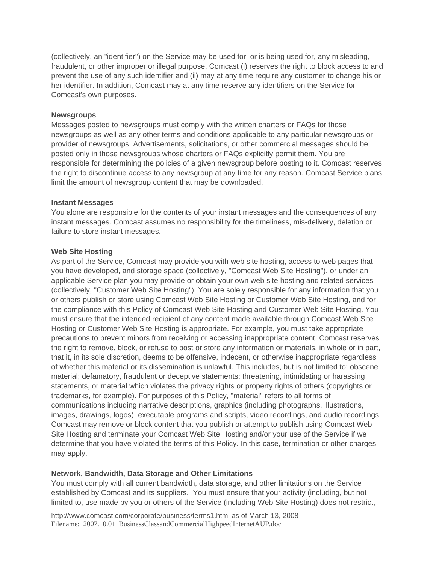(collectively, an "identifier") on the Service may be used for, or is being used for, any misleading, fraudulent, or other improper or illegal purpose, Comcast (i) reserves the right to block access to and prevent the use of any such identifier and (ii) may at any time require any customer to change his or her identifier. In addition, Comcast may at any time reserve any identifiers on the Service for Comcast's own purposes.

#### **Newsgroups**

Messages posted to newsgroups must comply with the written charters or FAQs for those newsgroups as well as any other terms and conditions applicable to any particular newsgroups or provider of newsgroups. Advertisements, solicitations, or other commercial messages should be posted only in those newsgroups whose charters or FAQs explicitly permit them. You are responsible for determining the policies of a given newsgroup before posting to it. Comcast reserves the right to discontinue access to any newsgroup at any time for any reason. Comcast Service plans limit the amount of newsgroup content that may be downloaded.

#### **Instant Messages**

You alone are responsible for the contents of your instant messages and the consequences of any instant messages. Comcast assumes no responsibility for the timeliness, mis-delivery, deletion or failure to store instant messages.

#### **Web Site Hosting**

As part of the Service, Comcast may provide you with web site hosting, access to web pages that you have developed, and storage space (collectively, "Comcast Web Site Hosting"), or under an applicable Service plan you may provide or obtain your own web site hosting and related services (collectively, "Customer Web Site Hosting"). You are solely responsible for any information that you or others publish or store using Comcast Web Site Hosting or Customer Web Site Hosting, and for the compliance with this Policy of Comcast Web Site Hosting and Customer Web Site Hosting. You must ensure that the intended recipient of any content made available through Comcast Web Site Hosting or Customer Web Site Hosting is appropriate. For example, you must take appropriate precautions to prevent minors from receiving or accessing inappropriate content. Comcast reserves the right to remove, block, or refuse to post or store any information or materials, in whole or in part, that it, in its sole discretion, deems to be offensive, indecent, or otherwise inappropriate regardless of whether this material or its dissemination is unlawful. This includes, but is not limited to: obscene material; defamatory, fraudulent or deceptive statements; threatening, intimidating or harassing statements, or material which violates the privacy rights or property rights of others (copyrights or trademarks, for example). For purposes of this Policy, "material" refers to all forms of communications including narrative descriptions, graphics (including photographs, illustrations, images, drawings, logos), executable programs and scripts, video recordings, and audio recordings. Comcast may remove or block content that you publish or attempt to publish using Comcast Web Site Hosting and terminate your Comcast Web Site Hosting and/or your use of the Service if we determine that you have violated the terms of this Policy. In this case, termination or other charges may apply.

#### **Network, Bandwidth, Data Storage and Other Limitations**

You must comply with all current bandwidth, data storage, and other limitations on the Service established by Comcast and its suppliers. You must ensure that your activity (including, but not limited to, use made by you or others of the Service (including Web Site Hosting) does not restrict,

http://www.comcast.com/corporate/business/terms1.html as of March 13, 2008 Filename: 2007.10.01\_BusinessClassandCommercialHighpeedInternetAUP.doc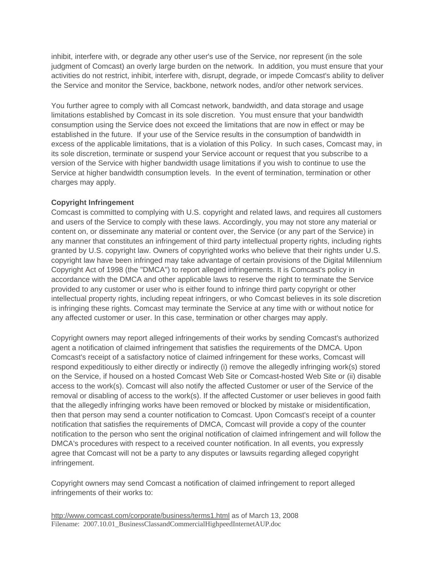inhibit, interfere with, or degrade any other user's use of the Service, nor represent (in the sole judgment of Comcast) an overly large burden on the network. In addition, you must ensure that your activities do not restrict, inhibit, interfere with, disrupt, degrade, or impede Comcast's ability to deliver the Service and monitor the Service, backbone, network nodes, and/or other network services.

You further agree to comply with all Comcast network, bandwidth, and data storage and usage limitations established by Comcast in its sole discretion. You must ensure that your bandwidth consumption using the Service does not exceed the limitations that are now in effect or may be established in the future. If your use of the Service results in the consumption of bandwidth in excess of the applicable limitations, that is a violation of this Policy. In such cases, Comcast may, in its sole discretion, terminate or suspend your Service account or request that you subscribe to a version of the Service with higher bandwidth usage limitations if you wish to continue to use the Service at higher bandwidth consumption levels. In the event of termination, termination or other charges may apply.

#### **Copyright Infringement**

Comcast is committed to complying with U.S. copyright and related laws, and requires all customers and users of the Service to comply with these laws. Accordingly, you may not store any material or content on, or disseminate any material or content over, the Service (or any part of the Service) in any manner that constitutes an infringement of third party intellectual property rights, including rights granted by U.S. copyright law. Owners of copyrighted works who believe that their rights under U.S. copyright law have been infringed may take advantage of certain provisions of the Digital Millennium Copyright Act of 1998 (the "DMCA") to report alleged infringements. It is Comcast's policy in accordance with the DMCA and other applicable laws to reserve the right to terminate the Service provided to any customer or user who is either found to infringe third party copyright or other intellectual property rights, including repeat infringers, or who Comcast believes in its sole discretion is infringing these rights. Comcast may terminate the Service at any time with or without notice for any affected customer or user. In this case, termination or other charges may apply.

Copyright owners may report alleged infringements of their works by sending Comcast's authorized agent a notification of claimed infringement that satisfies the requirements of the DMCA. Upon Comcast's receipt of a satisfactory notice of claimed infringement for these works, Comcast will respond expeditiously to either directly or indirectly (i) remove the allegedly infringing work(s) stored on the Service, if housed on a hosted Comcast Web Site or Comcast-hosted Web Site or (ii) disable access to the work(s). Comcast will also notify the affected Customer or user of the Service of the removal or disabling of access to the work(s). If the affected Customer or user believes in good faith that the allegedly infringing works have been removed or blocked by mistake or misidentification, then that person may send a counter notification to Comcast. Upon Comcast's receipt of a counter notification that satisfies the requirements of DMCA, Comcast will provide a copy of the counter notification to the person who sent the original notification of claimed infringement and will follow the DMCA's procedures with respect to a received counter notification. In all events, you expressly agree that Comcast will not be a party to any disputes or lawsuits regarding alleged copyright infringement.

Copyright owners may send Comcast a notification of claimed infringement to report alleged infringements of their works to: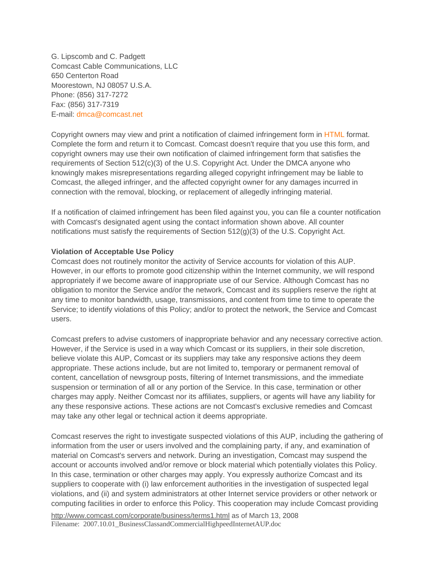G. Lipscomb and C. Padgett Comcast Cable Communications, LLC 650 Centerton Road Moorestown, NJ 08057 U.S.A. Phone: (856) 317-7272 Fax: (856) 317-7319 E-mail: dmca@comcast.net

Copyright owners may view and print a notification of claimed infringement form in HTML format. Complete the form and return it to Comcast. Comcast doesn't require that you use this form, and copyright owners may use their own notification of claimed infringement form that satisfies the requirements of Section 512(c)(3) of the U.S. Copyright Act. Under the DMCA anyone who knowingly makes misrepresentations regarding alleged copyright infringement may be liable to Comcast, the alleged infringer, and the affected copyright owner for any damages incurred in connection with the removal, blocking, or replacement of allegedly infringing material.

If a notification of claimed infringement has been filed against you, you can file a counter notification with Comcast's designated agent using the contact information shown above. All counter notifications must satisfy the requirements of Section 512(g)(3) of the U.S. Copyright Act.

#### **Violation of Acceptable Use Policy**

Comcast does not routinely monitor the activity of Service accounts for violation of this AUP. However, in our efforts to promote good citizenship within the Internet community, we will respond appropriately if we become aware of inappropriate use of our Service. Although Comcast has no obligation to monitor the Service and/or the network, Comcast and its suppliers reserve the right at any time to monitor bandwidth, usage, transmissions, and content from time to time to operate the Service; to identify violations of this Policy; and/or to protect the network, the Service and Comcast users.

Comcast prefers to advise customers of inappropriate behavior and any necessary corrective action. However, if the Service is used in a way which Comcast or its suppliers, in their sole discretion, believe violate this AUP, Comcast or its suppliers may take any responsive actions they deem appropriate. These actions include, but are not limited to, temporary or permanent removal of content, cancellation of newsgroup posts, filtering of Internet transmissions, and the immediate suspension or termination of all or any portion of the Service. In this case, termination or other charges may apply. Neither Comcast nor its affiliates, suppliers, or agents will have any liability for any these responsive actions. These actions are not Comcast's exclusive remedies and Comcast may take any other legal or technical action it deems appropriate.

Comcast reserves the right to investigate suspected violations of this AUP, including the gathering of information from the user or users involved and the complaining party, if any, and examination of material on Comcast's servers and network. During an investigation, Comcast may suspend the account or accounts involved and/or remove or block material which potentially violates this Policy. In this case, termination or other charges may apply. You expressly authorize Comcast and its suppliers to cooperate with (i) law enforcement authorities in the investigation of suspected legal violations, and (ii) and system administrators at other Internet service providers or other network or computing facilities in order to enforce this Policy. This cooperation may include Comcast providing

http://www.comcast.com/corporate/business/terms1.html as of March 13, 2008 Filename: 2007.10.01\_BusinessClassandCommercialHighpeedInternetAUP.doc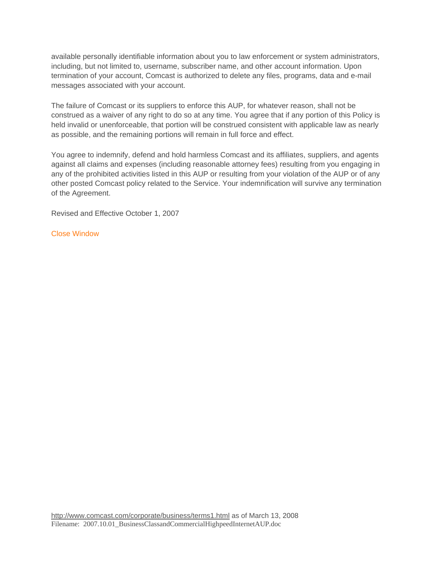available personally identifiable information about you to law enforcement or system administrators, including, but not limited to, username, subscriber name, and other account information. Upon termination of your account, Comcast is authorized to delete any files, programs, data and e-mail messages associated with your account.

The failure of Comcast or its suppliers to enforce this AUP, for whatever reason, shall not be construed as a waiver of any right to do so at any time. You agree that if any portion of this Policy is held invalid or unenforceable, that portion will be construed consistent with applicable law as nearly as possible, and the remaining portions will remain in full force and effect.

You agree to indemnify, defend and hold harmless Comcast and its affiliates, suppliers, and agents against all claims and expenses (including reasonable attorney fees) resulting from you engaging in any of the prohibited activities listed in this AUP or resulting from your violation of the AUP or of any other posted Comcast policy related to the Service. Your indemnification will survive any termination of the Agreement.

Revised and Effective October 1, 2007

#### Close Window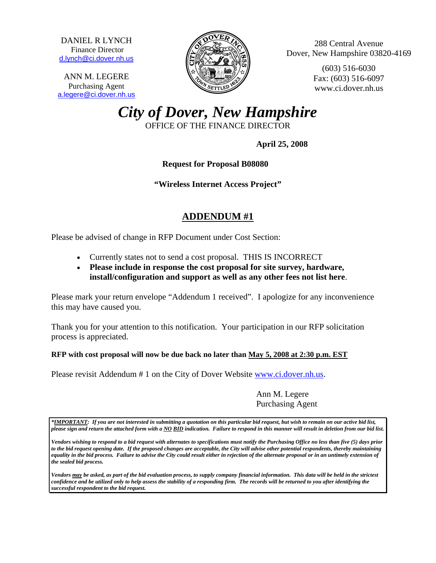DANIEL R LYNCH Finance Director [d.lynch@ci.dover.nh.us](mailto:jeff.harrington@ci.dover.nh.us)

ANN M. LEGERE Purchasing Agent [a.legere@ci.dover.nh.us](mailto:a.legere@ci.dover.nh.us)



288 Central Avenue Dover, New Hampshire 03820-4169

> (603) 516-6030 Fax: (603) 516-6097 www.ci.dover.nh.us

*City of Dover, New Hampshire*  OFFICE OF THE FINANCE DIRECTOR

 **April 25, 2008**

 **Request for Proposal B08080** 

**"Wireless Internet Access Project"**

# **ADDENDUM #1**

Please be advised of change in RFP Document under Cost Section:

- Currently states not to send a cost proposal. THIS IS INCORRECT
- **Please include in response the cost proposal for site survey, hardware, install/configuration and support as well as any other fees not list here**.

Please mark your return envelope "Addendum 1 received". I apologize for any inconvenience this may have caused you.

Thank you for your attention to this notification. Your participation in our RFP solicitation process is appreciated.

## **RFP with cost proposal will now be due back no later than May 5, 2008 at 2:30 p.m. EST**

Please revisit Addendum # 1 on the City of Dover Website [www.ci.dover.nh.us](http://www.ci.dover.nh.us/).

 Ann M. Legere Purchasing Agent

*\*IMPORTANT: If you are not interested in submitting a quotation on this particular bid request, but wish to remain on our active bid list, please sign and return the attached form with a NO BID indication. Failure to respond in this manner will result in deletion from our bid list.* 

*Vendors wishing to respond to a bid request with alternates to specifications must notify the Purchasing Office no less than five (5) days prior to the bid request opening date. If the proposed changes are acceptable, the City will advise other potential respondents, thereby maintaining*  equality in the bid process. Failure to advise the City could result either in rejection of the alternate proposal or in an untimely extension of *the sealed bid process.* 

*Vendors may be asked, as part of the bid evaluation process, to supply company financial information. This data will be held in the strictest confidence and be utilized only to help assess the stability of a responding firm. The records will be returned to you after identifying the successful respondent to the bid request.*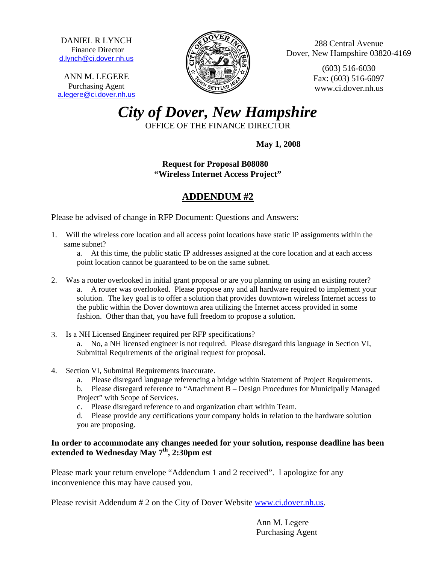DANIEL R LYNCH Finance Director [d.lynch@ci.dover.nh.us](mailto:jeff.harrington@ci.dover.nh.us)

ANN M. LEGERE Purchasing Agent [a.legere@ci.dover.nh.us](mailto:a.legere@ci.dover.nh.us)



288 Central Avenue Dover, New Hampshire 03820-4169

> (603) 516-6030 Fax: (603) 516-6097 www.ci.dover.nh.us

*City of Dover, New Hampshire*  OFFICE OF THE FINANCE DIRECTOR

 **May 1, 2008**

## **Request for Proposal B08080 "Wireless Internet Access Project"**

## **ADDENDUM #2**

Please be advised of change in RFP Document: Questions and Answers:

1. Will the wireless core location and all access point locations have static IP assignments within the same subnet?

a. At this time, the public static IP addresses assigned at the core location and at each access point location cannot be guaranteed to be on the same subnet.

- 2. Was a router overlooked in initial grant proposal or are you planning on using an existing router? a. A router was overlooked. Please propose any and all hardware required to implement your solution. The key goal is to offer a solution that provides downtown wireless Internet access to the public within the Dover downtown area utilizing the Internet access provided in some fashion. Other than that, you have full freedom to propose a solution.
- 3. Is a NH Licensed Engineer required per RFP specifications? a. No, a NH licensed engineer is not required. Please disregard this language in Section VI, Submittal Requirements of the original request for proposal.
- 4. Section VI, Submittal Requirements inaccurate.
	- a. Please disregard language referencing a bridge within Statement of Project Requirements.
	- b. Please disregard reference to "Attachment B Design Procedures for Municipally Managed Project" with Scope of Services.
	- c. Please disregard reference to and organization chart within Team.
	- d. Please provide any certifications your company holds in relation to the hardware solution you are proposing.

## **In order to accommodate any changes needed for your solution, response deadline has been extended to Wednesday May 7th, 2:30pm est**

Please mark your return envelope "Addendum 1 and 2 received". I apologize for any inconvenience this may have caused you.

Please revisit Addendum # 2 on the City of Dover Website [www.ci.dover.nh.us](http://www.ci.dover.nh.us/).

 Ann M. Legere Purchasing Agent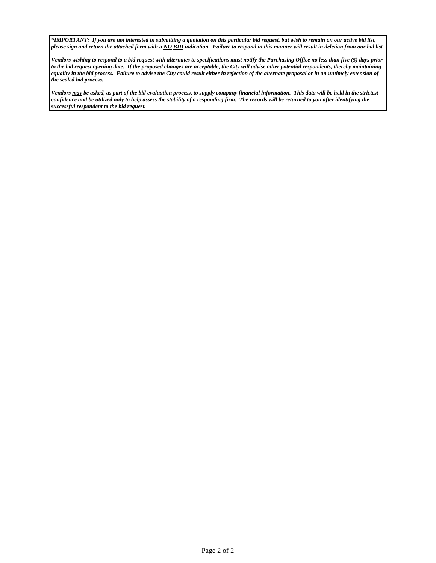*\*IMPORTANT: If you are not interested in submitting a quotation on this particular bid request, but wish to remain on our active bid list, please sign and return the attached form with a NO BID indication. Failure to respond in this manner will result in deletion from our bid list.* 

*Vendors wishing to respond to a bid request with alternates to specifications must notify the Purchasing Office no less than five (5) days prior to the bid request opening date. If the proposed changes are acceptable, the City will advise other potential respondents, thereby maintaining*  equality in the bid process. Failure to advise the City could result either in rejection of the alternate proposal or in an untimely extension of *the sealed bid process.* 

*Vendors may be asked, as part of the bid evaluation process, to supply company financial information. This data will be held in the strictest confidence and be utilized only to help assess the stability of a responding firm. The records will be returned to you after identifying the successful respondent to the bid request.*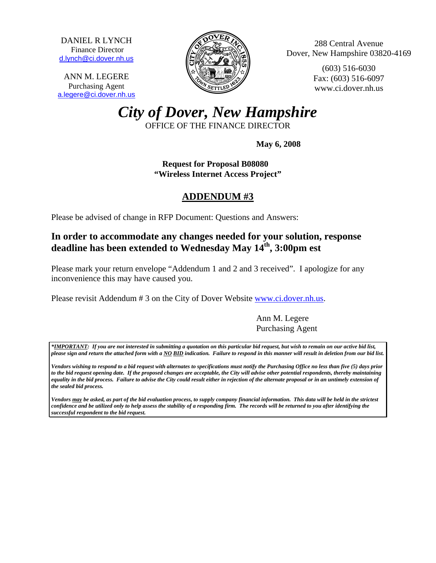DANIEL R LYNCH Finance Director d.lynch@ci.dover.nh.us

ANN M. LEGERE Purchasing Agent a.legere@ci.dover.nh.us



288 Central Avenue Dover, New Hampshire 03820-4169

> (603) 516-6030 Fax: (603) 516-6097 www.ci.dover.nh.us

*City of Dover, New Hampshire*  OFFICE OF THE FINANCE DIRECTOR

 **May 6, 2008**

 **Request for Proposal B08080 "Wireless Internet Access Project"**

## **ADDENDUM #3**

Please be advised of change in RFP Document: Questions and Answers:

## **In order to accommodate any changes needed for your solution, response deadline has been extended to Wednesday May 14th, 3:00pm est**

Please mark your return envelope "Addendum 1 and 2 and 3 received". I apologize for any inconvenience this may have caused you.

Please revisit Addendum # 3 on the City of Dover Website www.ci.dover.nh.us.

 Ann M. Legere Purchasing Agent

*\*IMPORTANT: If you are not interested in submitting a quotation on this particular bid request, but wish to remain on our active bid list, please sign and return the attached form with a NO BID indication. Failure to respond in this manner will result in deletion from our bid list.* 

*Vendors wishing to respond to a bid request with alternates to specifications must notify the Purchasing Office no less than five (5) days prior to the bid request opening date. If the proposed changes are acceptable, the City will advise other potential respondents, thereby maintaining equality in the bid process. Failure to advise the City could result either in rejection of the alternate proposal or in an untimely extension of the sealed bid process.* 

*Vendors may be asked, as part of the bid evaluation process, to supply company financial information. This data will be held in the strictest confidence and be utilized only to help assess the stability of a responding firm. The records will be returned to you after identifying the successful respondent to the bid request.*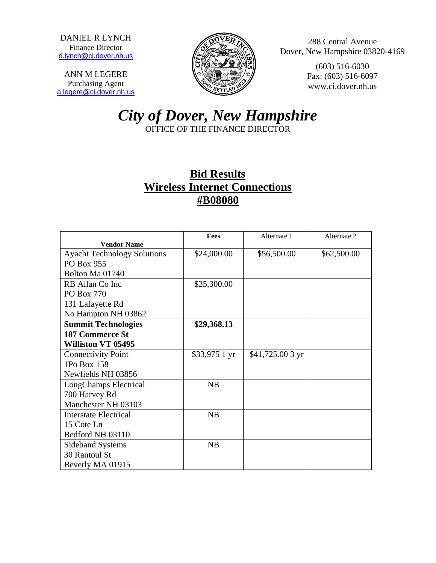DANIEL R LYNCH Finance Director [d.lynch@ci.dover.nh.us](mailto:jeff.harrington@ci.dover.nh.us)

ANN M LEGERE Purchasing Agent [a.legere@ci.dover.nh.us](mailto:d.kelly@ci.dover.nh.us)



288 Central Avenue Dover, New Hampshire 03820-4169

> (603) 516-6030 Fax: (603) 516-6097 www.ci.dover.nh.us

# *City of Dover, New Hampshire*

OFFICE OF THE FINANCE DIRECTOR

# **Bid Results Wireless Internet Connections #B08080**

|                                    | Fees          | Alternate 1      | Alternate 2 |
|------------------------------------|---------------|------------------|-------------|
| <b>Vendor Name</b>                 |               |                  |             |
| <b>Ayacht Technology Solutions</b> | \$24,000.00   | \$56,500.00      | \$62,500.00 |
| PO Box 955                         |               |                  |             |
| Bolton Ma 01740                    |               |                  |             |
| RB Allan Co Inc                    | \$25,300.00   |                  |             |
| PO Box 770                         |               |                  |             |
| 131 Lafayette Rd                   |               |                  |             |
| No Hampton NH 03862                |               |                  |             |
| <b>Summit Technologies</b>         | \$29,368.13   |                  |             |
| <b>187 Commerce St</b>             |               |                  |             |
| Williston VT 05495                 |               |                  |             |
| <b>Connectivity Point</b>          | \$33,975 1 yr | $$41,725.003$ yr |             |
| 1Po Box 158                        |               |                  |             |
| Newfields NH 03856                 |               |                  |             |
| LongChamps Electrical              | NB            |                  |             |
| 700 Harvey Rd                      |               |                  |             |
| Manchester NH 03103                |               |                  |             |
| Interstate Electrical              | NB            |                  |             |
| 15 Cote Ln                         |               |                  |             |
| Bedford NH 03110                   |               |                  |             |
| <b>Sideband Systems</b>            | NB            |                  |             |
| 30 Rantoul St                      |               |                  |             |
| Beverly MA 01915                   |               |                  |             |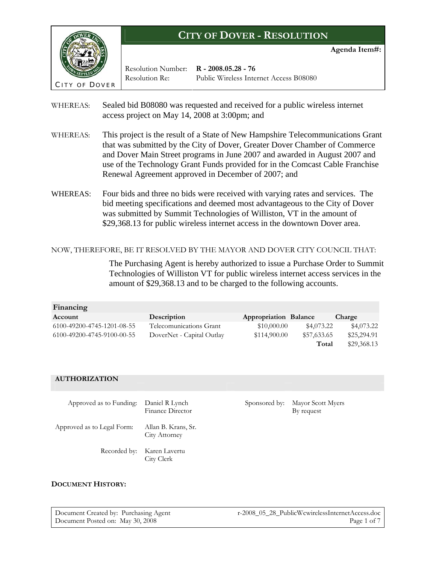

**Agenda Item#:**

Resolution Number: **R - 2008.05.28 - 76** Resolution Re: Public Wireless Internet Access B08080

- WHEREAS: Sealed bid B08080 was requested and received for a public wireless internet access project on May 14, 2008 at 3:00pm; and
- WHEREAS: This project is the result of a State of New Hampshire Telecommunications Grant that was submitted by the City of Dover, Greater Dover Chamber of Commerce and Dover Main Street programs in June 2007 and awarded in August 2007 and use of the Technology Grant Funds provided for in the Comcast Cable Franchise Renewal Agreement approved in December of 2007; and
- WHEREAS: Four bids and three no bids were received with varying rates and services. The bid meeting specifications and deemed most advantageous to the City of Dover was submitted by Summit Technologies of Williston, VT in the amount of \$29,368.13 for public wireless internet access in the downtown Dover area.

#### NOW, THEREFORE, BE IT RESOLVED BY THE MAYOR AND DOVER CITY COUNCIL THAT:

The Purchasing Agent is hereby authorized to issue a Purchase Order to Summit Technologies of Williston VT for public wireless internet access services in the amount of \$29,368.13 and to be charged to the following accounts.

| Financing                  |                           |                              |             |             |
|----------------------------|---------------------------|------------------------------|-------------|-------------|
| Account                    | Description               | <b>Appropriation Balance</b> |             | Charge      |
| 6100-49200-4745-1201-08-55 | Telecomunications Grant   | \$10,000.00                  | \$4,073.22  | \$4,073.22  |
| 6100-49200-4745-9100-00-55 | DoverNet - Capital Outlay | \$114,900.00                 | \$57,633.65 | \$25,294.91 |
|                            |                           |                              | Total       | \$29,368.13 |

#### **AUTHORIZATION**

| Approved as to Funding:    | Daniel R Lynch<br>Finance Director          | Sponsored by: Mayor Scott Myers<br>By request |
|----------------------------|---------------------------------------------|-----------------------------------------------|
| Approved as to Legal Form: | Allan B. Krans, Sr.<br><b>City Attorney</b> |                                               |
|                            | Recorded by: Karen Lavertu<br>City Clerk    |                                               |

#### **DOCUMENT HISTORY:**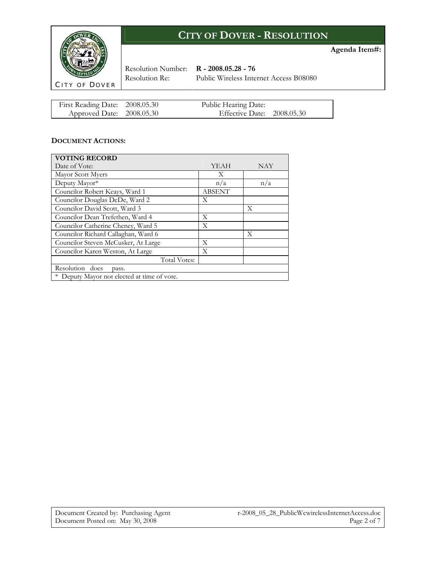

**Agenda Item#:**

Resolution Number: **R - 2008.05.28 - 76**

Resolution Re: Public Wireless Internet Access B08080

| First Reading Date: 2008.05.30 | Public Hearing Date:       |  |
|--------------------------------|----------------------------|--|
| Approved Date: 2008.05.30      | Effective Date: 2008.05.30 |  |

#### **DOCUMENT ACTIONS:**

| <b>VOTING RECORD</b>                        |               |            |  |  |
|---------------------------------------------|---------------|------------|--|--|
| Date of Vote:                               | YEAH          | <b>NAY</b> |  |  |
| Mayor Scott Myers                           | X             |            |  |  |
| Deputy Mayor*                               | n/a           | n/a        |  |  |
| Councilor Robert Keays, Ward 1              | <b>ABSENT</b> |            |  |  |
| Councilor Douglas DeDe, Ward 2              | X             |            |  |  |
| Councilor David Scott, Ward 3               |               | X          |  |  |
| Councilor Dean Trefethen, Ward 4            | Χ             |            |  |  |
| Councilor Catherine Cheney, Ward 5          | Χ             |            |  |  |
| Councilor Richard Callaghan, Ward 6         |               | X          |  |  |
| Councilor Steven McCusker, At Large         | X             |            |  |  |
| Councilor Karen Weston, At Large            | X             |            |  |  |
| <b>Total Votes:</b>                         |               |            |  |  |
| Resolution does<br>pass.                    |               |            |  |  |
| * Deputy Mayor not elected at time of vote. |               |            |  |  |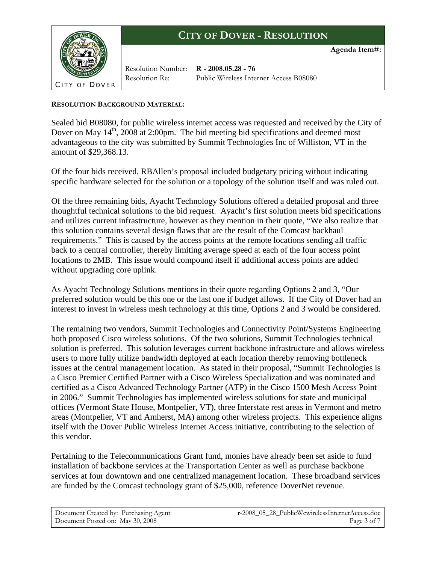

**Agenda Item#:**

Resolution Number: **R - 2008.05.28 - 76** Resolution Re: Public Wireless Internet Access B08080

#### **RESOLUTION BACKGROUND MATERIAL:**

Sealed bid B08080, for public wireless internet access was requested and received by the City of Dover on May  $14<sup>th</sup>$ , 2008 at 2:00pm. The bid meeting bid specifications and deemed most advantageous to the city was submitted by Summit Technologies Inc of Williston, VT in the amount of \$29,368.13.

Of the four bids received, RBAllen's proposal included budgetary pricing without indicating specific hardware selected for the solution or a topology of the solution itself and was ruled out.

Of the three remaining bids, Ayacht Technology Solutions offered a detailed proposal and three thoughtful technical solutions to the bid request. Ayacht's first solution meets bid specifications and utilizes current infrastructure, however as they mention in their quote, "We also realize that this solution contains several design flaws that are the result of the Comcast backhaul requirements." This is caused by the access points at the remote locations sending all traffic back to a central controller, thereby limiting average speed at each of the four access point locations to 2MB. This issue would compound itself if additional access points are added without upgrading core uplink.

As Ayacht Technology Solutions mentions in their quote regarding Options 2 and 3, "Our preferred solution would be this one or the last one if budget allows. If the City of Dover had an interest to invest in wireless mesh technology at this time, Options 2 and 3 would be considered.

The remaining two vendors, Summit Technologies and Connectivity Point/Systems Engineering both proposed Cisco wireless solutions. Of the two solutions, Summit Technologies technical solution is preferred. This solution leverages current backbone infrastructure and allows wireless users to more fully utilize bandwidth deployed at each location thereby removing bottleneck issues at the central management location. As stated in their proposal, "Summit Technologies is a Cisco Premier Certified Partner with a Cisco Wireless Specialization and was nominated and certified as a Cisco Advanced Technology Partner (ATP) in the Cisco 1500 Mesh Access Point in 2006." Summit Technologies has implemented wireless solutions for state and municipal offices (Vermont State House, Montpelier, VT), three Interstate rest areas in Vermont and metro areas (Montpelier, VT and Amherst, MA) among other wireless projects. This experience aligns itself with the Dover Public Wireless Internet Access initiative, contributing to the selection of this vendor.

Pertaining to the Telecommunications Grant fund, monies have already been set aside to fund installation of backbone services at the Transportation Center as well as purchase backbone services at four downtown and one centralized management location. These broadband services are funded by the Comcast technology grant of \$25,000, reference DoverNet revenue.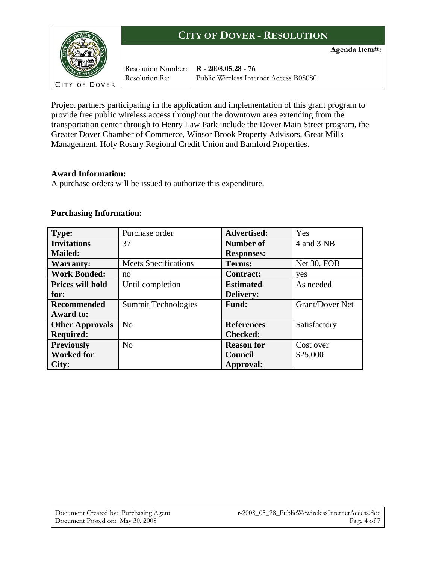

**Agenda Item#:**

Resolution Number: **R - 2008.05.28 - 76** Resolution Re: Public Wireless Internet Access B08080

Project partners participating in the application and implementation of this grant program to provide free public wireless access throughout the downtown area extending from the transportation center through to Henry Law Park include the Dover Main Street program, the Greater Dover Chamber of Commerce, Winsor Brook Property Advisors, Great Mills Management, Holy Rosary Regional Credit Union and Bamford Properties.

## **Award Information:**

A purchase orders will be issued to authorize this expenditure.

## **Purchasing Information:**

| Type:                   | Purchase order              | <b>Advertised:</b> | Yes                    |
|-------------------------|-----------------------------|--------------------|------------------------|
| <b>Invitations</b>      | 37                          | <b>Number of</b>   | 4 and 3 NB             |
| <b>Mailed:</b>          |                             | <b>Responses:</b>  |                        |
| <b>Warranty:</b>        | <b>Meets Specifications</b> | Terms:             | Net 30, FOB            |
| <b>Work Bonded:</b>     | no                          | <b>Contract:</b>   | yes                    |
| <b>Prices will hold</b> | Until completion            | <b>Estimated</b>   | As needed              |
| for:                    |                             | <b>Delivery:</b>   |                        |
| <b>Recommended</b>      | Summit Technologies         | <b>Fund:</b>       | <b>Grant/Dover Net</b> |
| Award to:               |                             |                    |                        |
| <b>Other Approvals</b>  | N <sub>o</sub>              | <b>References</b>  | Satisfactory           |
| <b>Required:</b>        |                             | <b>Checked:</b>    |                        |
| <b>Previously</b>       | N <sub>0</sub>              | <b>Reason for</b>  | Cost over              |
| <b>Worked for</b>       |                             | Council            | \$25,000               |
| City:                   |                             | Approval:          |                        |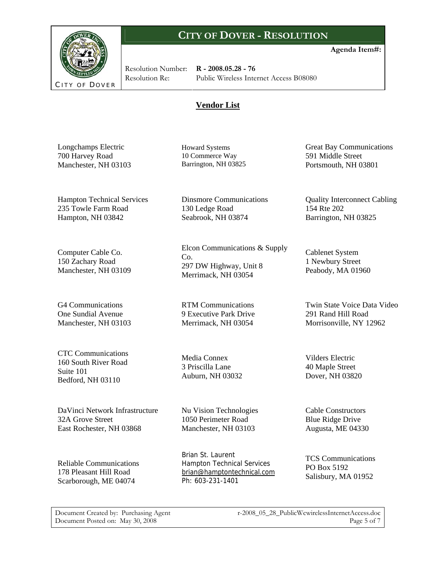

**Agenda Item#:**

Resolution Number: **R - 2008.05.28 - 76** Resolution Re: Public Wireless Internet Access B08080

## **Vendor List**

Longchamps Electric 700 Harvey Road Manchester, NH 03103

Howard Systems 10 Commerce Way Barrington, NH 03825

130 Ledge Road Seabrook, NH 03874

Co.

Dinsmore Communications

Elcon Communications & Supply

297 DW Highway, Unit 8 Merrimack, NH 03054

RTM Communications 9 Executive Park Drive Merrimack, NH 03054

Great Bay Communications 591 Middle Street Portsmouth, NH 03801

Hampton Technical Services 235 Towle Farm Road Hampton, NH 03842

Computer Cable Co. 150 Zachary Road Manchester, NH 03109

G4 Communications One Sundial Avenue Manchester, NH 03103

CTC Communications 160 South River Road Suite 101 Bedford, NH 03110

DaVinci Network Infrastructure 32A Grove Street East Rochester, NH 03868

Reliable Communications 178 Pleasant Hill Road Scarborough, ME 04074

Media Connex 3 Priscilla Lane Auburn, NH 03032

Nu Vision Technologies 1050 Perimeter Road Manchester, NH 03103

 Brian St. Laurent Hampton Technical Services [brian@hamptontechnical.com](mailto:brian@hamptontechnical.com) Ph: 603-231-1401

154 Rte 202 Barrington, NH 03825

Quality Interconnect Cabling

Cablenet System 1 Newbury Street Peabody, MA 01960

Twin State Voice Data Video 291 Rand Hill Road Morrisonville, NY 12962

Vilders Electric 40 Maple Street Dover, NH 03820

Cable Constructors Blue Ridge Drive Augusta, ME 04330

TCS Communications PO Box 5192 Salisbury, MA 01952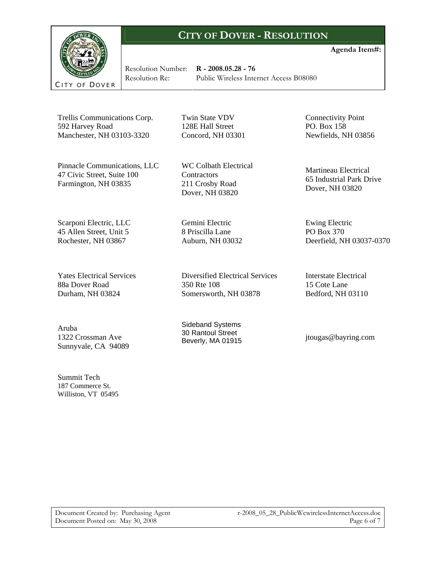

**Agenda Item#:**

Resolution Number: **R - 2008.05.28 - 76** Resolution Re: Public Wireless Internet Access B08080

Trellis Communications Corp. 592 Harvey Road Manchester, NH 03103-3320

Pinnacle Communications, LLC 47 Civic Street, Suite 100 Farmington, NH 03835

Concord, NH 03301 WC Colbath Electrical

Twin State VDV 128E Hall Street

**Contractors** 211 Crosby Road Dover, NH 03820

Gemini Electric 8 Priscilla Lane Auburn, NH 03032

Scarponi Electric, LLC 45 Allen Street, Unit 5 Rochester, NH 03867

Yates Electrical Services 88a Dover Road Durham, NH 03824

350 Rte 108 Somersworth, NH 03878

Diversified Electrical Services

Connectivity Point PO. Box 158 Newfields, NH 03856

Martineau Electrical 65 Industrial Park Drive Dover, NH 03820

Ewing Electric PO Box 370 Deerfield, NH 03037-0370

Interstate Electrical 15 Cote Lane Bedford, NH 03110

Aruba 1322 Crossman Ave Sunnyvale, CA 94089

Sideband Systems 30 Rantoul Street<br>Beverly, MA 01915

jtougas@bayring.com

Summit Tech 187 Commerce St. Williston, VT 05495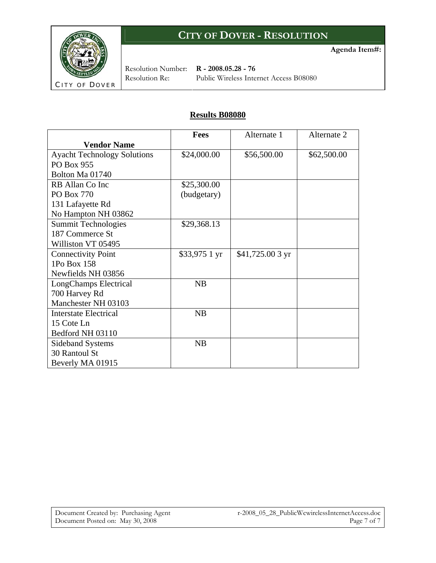

**Agenda Item#:**

Resolution Number: **R - 2008.05.28 - 76** Resolution Re: Public Wireless Internet Access B08080

## **Results B08080**

|                                    | <b>Fees</b>   | Alternate 1      | Alternate 2 |
|------------------------------------|---------------|------------------|-------------|
| <b>Vendor Name</b>                 |               |                  |             |
| <b>Ayacht Technology Solutions</b> | \$24,000.00   | \$56,500.00      | \$62,500.00 |
| PO Box 955                         |               |                  |             |
| Bolton Ma 01740                    |               |                  |             |
| RB Allan Co Inc                    | \$25,300.00   |                  |             |
| PO Box 770                         | (budgetary)   |                  |             |
| 131 Lafayette Rd                   |               |                  |             |
| No Hampton NH 03862                |               |                  |             |
| Summit Technologies                | \$29,368.13   |                  |             |
| 187 Commerce St                    |               |                  |             |
| Williston VT 05495                 |               |                  |             |
| <b>Connectivity Point</b>          | \$33,975 1 yr | $$41,725.003$ yr |             |
| 1Po Box 158                        |               |                  |             |
| Newfields NH 03856                 |               |                  |             |
| LongChamps Electrical              | NB            |                  |             |
| 700 Harvey Rd                      |               |                  |             |
| Manchester NH 03103                |               |                  |             |
| <b>Interstate Electrical</b>       | NB            |                  |             |
| 15 Cote Ln                         |               |                  |             |
| Bedford NH 03110                   |               |                  |             |
| <b>Sideband Systems</b>            | NB            |                  |             |
| 30 Rantoul St                      |               |                  |             |
| Beverly MA 01915                   |               |                  |             |